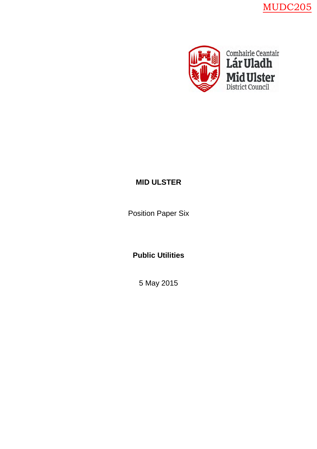MUDC205



# **MID ULSTER**

Position Paper Six

**Public Utilities**

5 May 2015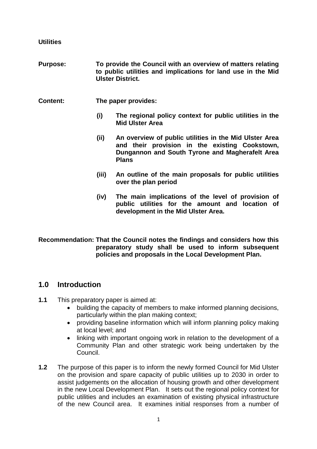**Utilities**

- **Purpose: To provide the Council with an overview of matters relating to public utilities and implications for land use in the Mid Ulster District.**
- **Content: The paper provides:**
	- **(i) The regional policy context for public utilities in the Mid Ulster Area**
	- **(ii) An overview of public utilities in the Mid Ulster Area and their provision in the existing Cookstown, Dungannon and South Tyrone and Magherafelt Area Plans**
	- **(iii) An outline of the main proposals for public utilities over the plan period**
	- **(iv) The main implications of the level of provision of public utilities for the amount and location of development in the Mid Ulster Area.**

**Recommendation: That the Council notes the findings and considers how this preparatory study shall be used to inform subsequent policies and proposals in the Local Development Plan.**

# **1.0 Introduction**

- **1.1** This preparatory paper is aimed at:
	- building the capacity of members to make informed planning decisions, particularly within the plan making context;
	- providing baseline information which will inform planning policy making at local level; and
	- linking with important ongoing work in relation to the development of a Community Plan and other strategic work being undertaken by the Council.
- **1.2** The purpose of this paper is to inform the newly formed Council for Mid Ulster on the provision and spare capacity of public utilities up to 2030 in order to assist judgements on the allocation of housing growth and other development in the new Local Development Plan. It sets out the regional policy context for public utilities and includes an examination of existing physical infrastructure of the new Council area. It examines initial responses from a number of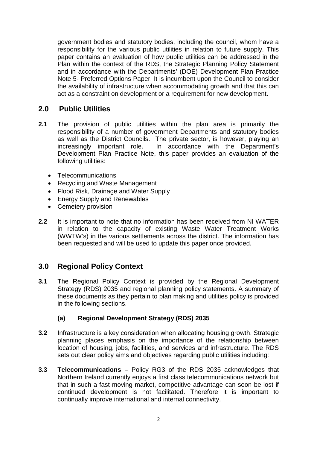government bodies and statutory bodies, including the council, whom have a responsibility for the various public utilities in relation to future supply. This paper contains an evaluation of how public utilities can be addressed in the Plan within the context of the RDS, the Strategic Planning Policy Statement and in accordance with the Departments' (DOE) Development Plan Practice Note 5- Preferred Options Paper. It is incumbent upon the Council to consider the availability of infrastructure when accommodating growth and that this can act as a constraint on development or a requirement for new development.

# **2.0 Public Utilities**

- **2.1** The provision of public utilities within the plan area is primarily the responsibility of a number of government Departments and statutory bodies as well as the District Councils. The private sector, is however, playing an increasingly important role. In accordance with the Department's Development Plan Practice Note, this paper provides an evaluation of the following utilities:
	- Telecommunications
	- Recycling and Waste Management
	- Flood Risk, Drainage and Water Supply
	- **Energy Supply and Renewables**
	- Cemetery provision
- **2.2** It is important to note that no information has been received from NI WATER in relation to the capacity of existing Waste Water Treatment Works (WWTW's) in the various settlements across the district. The information has been requested and will be used to update this paper once provided.

# **3.0 Regional Policy Context**

**3.1** The Regional Policy Context is provided by the Regional Development Strategy (RDS) 2035 and regional planning policy statements. A summary of these documents as they pertain to plan making and utilities policy is provided in the following sections.

# **(a) Regional Development Strategy (RDS) 2035**

- **3.2** Infrastructure is a key consideration when allocating housing growth. Strategic planning places emphasis on the importance of the relationship between location of housing, jobs, facilities, and services and infrastructure. The RDS sets out clear policy aims and objectives regarding public utilities including:
- **3.3 Telecommunications –** Policy RG3 of the RDS 2035 acknowledges that Northern Ireland currently enjoys a first class telecommunications network but that in such a fast moving market, competitive advantage can soon be lost if continued development is not facilitated. Therefore it is important to continually improve international and internal connectivity.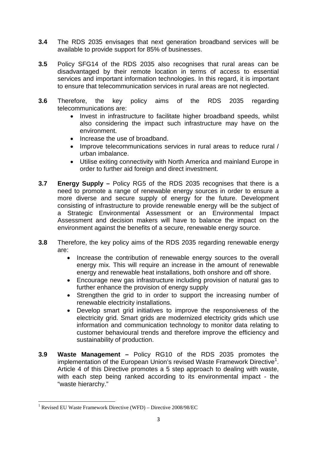- **3.4** The RDS 2035 envisages that next generation broadband services will be available to provide support for 85% of businesses.
- **3.5** Policy SFG14 of the RDS 2035 also recognises that rural areas can be disadvantaged by their remote location in terms of access to essential services and important information technologies. In this regard, it is important to ensure that telecommunication services in rural areas are not neglected.
- **3.6** Therefore, the key policy aims of the RDS 2035 regarding telecommunications are:
	- Invest in infrastructure to facilitate higher broadband speeds, whilst also considering the impact such infrastructure may have on the environment.
	- Increase the use of broadband.
	- Improve telecommunications services in rural areas to reduce rural / urban imbalance.
	- Utilise exiting connectivity with North America and mainland Europe in order to further aid foreign and direct investment.
- **3.7 Energy Supply –** Policy RG5 of the RDS 2035 recognises that there is a need to promote a range of renewable energy sources in order to ensure a more diverse and secure supply of energy for the future. Development consisting of infrastructure to provide renewable energy will be the subject of a Strategic Environmental Assessment or an Environmental Impact Assessment and decision makers will have to balance the impact on the environment against the benefits of a secure, renewable energy source.
- **3.8** Therefore, the key policy aims of the RDS 2035 regarding renewable energy are:
	- Increase the contribution of renewable energy sources to the overall energy mix. This will require an increase in the amount of renewable energy and renewable heat installations, both onshore and off shore.
	- Encourage new gas infrastructure including provision of natural gas to further enhance the provision of energy supply
	- Strengthen the grid to in order to support the increasing number of renewable electricity installations.
	- Develop smart grid initiatives to improve the responsiveness of the electricity grid. Smart grids are modernized electricity grids which use information and communication technology to monitor data relating to customer behavioural trends and therefore improve the efficiency and sustainability of production.
- **3.9 Waste Management –** Policy RG10 of the RDS 2035 promotes the implementation of the European Union's revised Waste Framework Directive<sup>1</sup>. Article 4 of this Directive promotes a 5 step approach to dealing with waste, with each step being ranked according to its environmental impact - the "waste hierarchy."

<sup>1</sup> Revised EU Waste Framework Directive (WFD) – Directive 2008/98/EC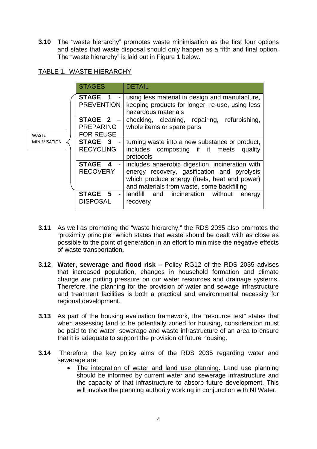**3.10** The "waste hierarchy" promotes waste minimisation as the first four options and states that waste disposal should only happen as a fifth and final option. The "waste hierarchy" is laid out in Figure 1 below.

# TABLE 1. WASTE HIERARCHY

|                     | <b>STAGES</b>                                                     | <b>DETAIL</b>                                                                                                                                                                                |
|---------------------|-------------------------------------------------------------------|----------------------------------------------------------------------------------------------------------------------------------------------------------------------------------------------|
|                     | STAGE 1 -<br><b>PREVENTION</b>                                    | using less material in design and manufacture,<br>keeping products for longer, re-use, using less<br>hazardous materials                                                                     |
| <b>WASTE</b>        | STAGE 2 -<br><b>PREPARING</b><br><b>FOR REUSE</b>                 | checking, cleaning, repairing,<br>refurbishing,<br>whole items or spare parts                                                                                                                |
| <b>MINIMISATION</b> | STAGE 3 -<br><b>RECYCLING</b>                                     | turning waste into a new substance or product,<br>includes composting if it meets<br>quality<br>protocols                                                                                    |
|                     | STAGE 4<br><b>RECOVERY</b>                                        | includes anaerobic digestion, incineration with<br>energy recovery, gasification and pyrolysis<br>which produce energy (fuels, heat and power)<br>and materials from waste, some backfilling |
|                     | <b>STAGE</b><br>-5<br>$\overline{\phantom{a}}$<br><b>DISPOSAL</b> | and incineration<br>landfill<br>without<br>energy<br>recovery                                                                                                                                |

- **3.11** As well as promoting the "waste hierarchy," the RDS 2035 also promotes the "proximity principle" which states that waste should be dealt with as close as possible to the point of generation in an effort to minimise the negative effects of waste transportation**.**
- **3.12 Water, sewerage and flood risk –** Policy RG12 of the RDS 2035 advises that increased population, changes in household formation and climate change are putting pressure on our water resources and drainage systems. Therefore, the planning for the provision of water and sewage infrastructure and treatment facilities is both a practical and environmental necessity for regional development.
- **3.13** As part of the housing evaluation framework, the "resource test" states that when assessing land to be potentially zoned for housing, consideration must be paid to the water, sewerage and waste infrastructure of an area to ensure that it is adequate to support the provision of future housing.
- **3.14** Therefore, the key policy aims of the RDS 2035 regarding water and sewerage are:
	- The integration of water and land use planning. Land use planning should be informed by current water and sewerage infrastructure and the capacity of that infrastructure to absorb future development. This will involve the planning authority working in conjunction with NI Water.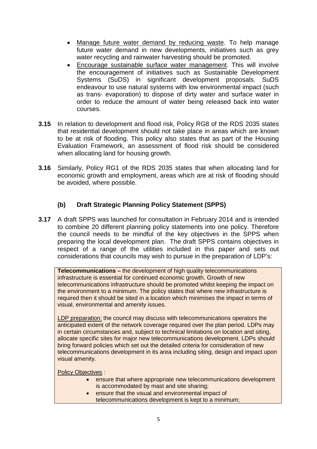- Manage future water demand by reducing waste. To help manage future water demand in new developments, initiatives such as grey water recycling and rainwater harvesting should be promoted.
- Encourage sustainable surface water management. This will involve the encouragement of initiatives such as Sustainable Development Systems (SuDS) in significant development proposals. SuDS endeavour to use natural systems with low environmental impact (such as trans- evaporation) to dispose of dirty water and surface water in order to reduce the amount of water being released back into water courses.
- **3.15** In relation to development and flood risk, Policy RG8 of the RDS 2035 states that residential development should not take place in areas which are known to be at risk of flooding. This policy also states that as part of the Housing Evaluation Framework, an assessment of flood risk should be considered when allocating land for housing growth.
- **3.16** Similarly, Policy RG1 of the RDS 2035 states that when allocating land for economic growth and employment, areas which are at risk of flooding should be avoided, where possible.

# **(b) Draft Strategic Planning Policy Statement (SPPS)**

**3.17** A draft SPPS was launched for consultation in February 2014 and is intended to combine 20 different planning policy statements into one policy. Therefore the council needs to be mindful of the key objectives in the SPPS when preparing the local development plan. The draft SPPS contains objectives in respect of a range of the utilities included in this paper and sets out considerations that councils may wish to pursue in the preparation of LDP's:

**Telecommunications –** the development of high quality telecommunications infrastructure is essential for continued economic growth. Growth of new telecommunications infrastructure should be promoted whilst keeping the impact on the environment to a minimum. The policy states that where new infrastructure is required then it should be sited in a location which minimises the impact in terms of visual, environmental and amenity issues.

LDP preparation: the council may discuss with telecommunications operators the anticipated extent of the network coverage required over the plan period. LDPs may in certain circumstances and, subject to technical limitations on location and siting, allocate specific sites for major new telecommunications development. LDPs should bring forward policies which set out the detailed criteria for consideration of new telecommunications development in its area including siting, design and impact upon visual amenity.

Policy Objectives :

- ensure that where appropriate new telecommunications development is accommodated by mast and site sharing;
- ensure that the visual and environmental impact of telecommunications development is kept to a minimum;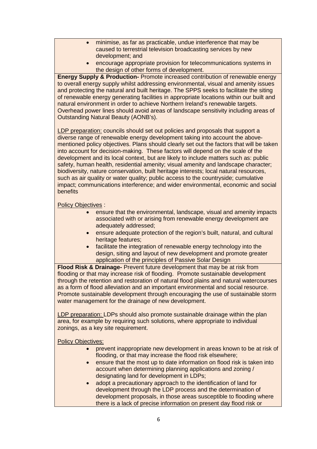- minimise, as far as practicable, undue interference that may be caused to terrestrial television broadcasting services by new development; and
- encourage appropriate provision for telecommunications systems in the design of other forms of development.

**Energy Supply & Production-** Promote increased contribution of renewable energy to overall energy supply whilst addressing environmental, visual and amenity issues and protecting the natural and built heritage. The SPPS seeks to facilitate the siting of renewable energy generating facilities in appropriate locations within our built and natural environment in order to achieve Northern Ireland's renewable targets. Overhead power lines should avoid areas of landscape sensitivity including areas of Outstanding Natural Beauty (AONB's).

LDP preparation: councils should set out policies and proposals that support a diverse range of renewable energy development taking into account the abovementioned policy objectives. Plans should clearly set out the factors that will be taken into account for decision-making. These factors will depend on the scale of the development and its local context, but are likely to include matters such as: public safety, human health, residential amenity; visual amenity and landscape character; biodiversity, nature conservation, built heritage interests; local natural resources, such as air quality or water quality; public access to the countryside; cumulative impact; communications interference; and wider environmental, economic and social **benefits** 

Policy Objectives :

- ensure that the environmental, landscape, visual and amenity impacts associated with or arising from renewable energy development are adequately addressed;
- ensure adequate protection of the region's built, natural, and cultural heritage features;
- facilitate the integration of renewable energy technology into the design, siting and layout of new development and promote greater application of the principles of Passive Solar Design

**Flood Risk & Drainage-** Prevent future development that may be at risk from flooding or that may increase risk of flooding. Promote sustainable development through the retention and restoration of natural flood plains and natural watercourses as a form of flood alleviation and an important environmental and social resource. Promote sustainable development through encouraging the use of sustainable storm water management for the drainage of new development.

LDP preparation: LDPs should also promote sustainable drainage within the plan area, for example by requiring such solutions, where appropriate to individual zonings, as a key site requirement.

**Policy Objectives:** 

- prevent inappropriate new development in areas known to be at risk of flooding, or that may increase the flood risk elsewhere;
- ensure that the most up to date information on flood risk is taken into account when determining planning applications and zoning / designating land for development in LDPs;
- adopt a precautionary approach to the identification of land for development through the LDP process and the determination of development proposals, in those areas susceptible to flooding where there is a lack of precise information on present day flood risk or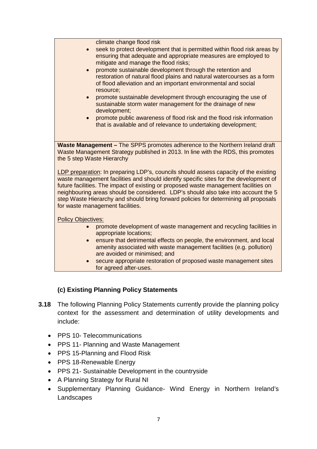climate change flood risk

- seek to protect development that is permitted within flood risk areas by ensuring that adequate and appropriate measures are employed to mitigate and manage the flood risks;
- promote sustainable development through the retention and restoration of natural flood plains and natural watercourses as a form of flood alleviation and an important environmental and social resource;
- **•** promote sustainable development through encouraging the use of sustainable storm water management for the drainage of new development;
- promote public awareness of flood risk and the flood risk information that is available and of relevance to undertaking development;

**Waste Management –** The SPPS promotes adherence to the Northern Ireland draft Waste Management Strategy published in 2013. In line with the RDS, this promotes the 5 step Waste Hierarchy

LDP preparation: In preparing LDP's, councils should assess capacity of the existing waste management facilities and should identify specific sites for the development of future facilities. The impact of existing or proposed waste management facilities on neighbouring areas should be considered. LDP's should also take into account the 5 step Waste Hierarchy and should bring forward policies for determining all proposals for waste management facilities.

Policy Objectives:

- promote development of waste management and recycling facilities in appropriate locations;
- ensure that detrimental effects on people, the environment, and local amenity associated with waste management facilities (e.g. pollution) are avoided or minimised; and
- secure appropriate restoration of proposed waste management sites for agreed after-uses.

# **(c) Existing Planning Policy Statements**

- **3.18** The following Planning Policy Statements currently provide the planning policy context for the assessment and determination of utility developments and include:
	- PPS 10- Telecommunications
	- PPS 11- Planning and Waste Management
	- PPS 15-Planning and Flood Risk
	- PPS 18-Renewable Energy
	- PPS 21- Sustainable Development in the countryside
	- A Planning Strategy for Rural NI
	- Supplementary Planning Guidance- Wind Energy in Northern Ireland's **Landscapes**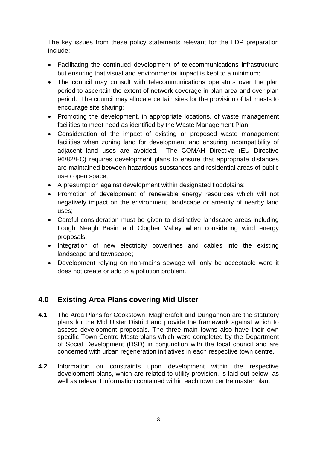The key issues from these policy statements relevant for the LDP preparation include:

- Facilitating the continued development of telecommunications infrastructure but ensuring that visual and environmental impact is kept to a minimum;
- The council may consult with telecommunications operators over the plan period to ascertain the extent of network coverage in plan area and over plan period. The council may allocate certain sites for the provision of tall masts to encourage site sharing;
- Promoting the development, in appropriate locations, of waste management facilities to meet need as identified by the Waste Management Plan;
- Consideration of the impact of existing or proposed waste management facilities when zoning land for development and ensuring incompatibility of adjacent land uses are avoided. The COMAH Directive (EU Directive 96/82/EC) requires development plans to ensure that appropriate distances are maintained between hazardous substances and residential areas of public use / open space;
- A presumption against development within designated floodplains;
- Promotion of development of renewable energy resources which will not negatively impact on the environment, landscape or amenity of nearby land uses;
- Careful consideration must be given to distinctive landscape areas including Lough Neagh Basin and Clogher Valley when considering wind energy proposals;
- Integration of new electricity powerlines and cables into the existing landscape and townscape;
- Development relying on non-mains sewage will only be acceptable were it does not create or add to a pollution problem.

# **4.0 Existing Area Plans covering Mid Ulster**

- **4.1** The Area Plans for Cookstown, Magherafelt and Dungannon are the statutory plans for the Mid Ulster District and provide the framework against which to assess development proposals. The three main towns also have their own specific Town Centre Masterplans which were completed by the Department of Social Development (DSD) in conjunction with the local council and are concerned with urban regeneration initiatives in each respective town centre.
- **4.2** Information on constraints upon development within the respective development plans, which are related to utility provision, is laid out below, as well as relevant information contained within each town centre master plan.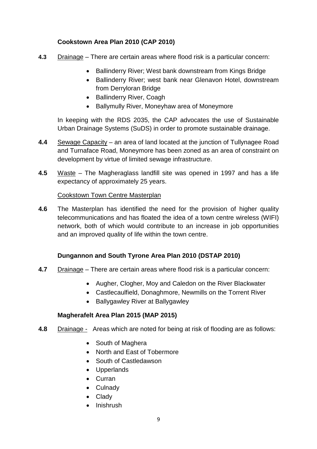# **Cookstown Area Plan 2010 (CAP 2010)**

- **4.3** Drainage There are certain areas where flood risk is a particular concern:
	- Ballinderry River; West bank downstream from Kings Bridge
		- Ballinderry River; west bank near Glenavon Hotel, downstream from Derryloran Bridge
		- Ballinderry River, Coagh
		- Ballymully River, Moneyhaw area of Moneymore

In keeping with the RDS 2035, the CAP advocates the use of Sustainable Urban Drainage Systems (SuDS) in order to promote sustainable drainage.

- **4.4** Sewage Capacity an area of land located at the junction of Tullynagee Road and Turnaface Road, Moneymore has been zoned as an area of constraint on development by virtue of limited sewage infrastructure.
- **4.5** Waste The Magheraglass landfill site was opened in 1997 and has a life expectancy of approximately 25 years.

# Cookstown Town Centre Masterplan

**4.6** The Masterplan has identified the need for the provision of higher quality telecommunications and has floated the idea of a town centre wireless (WIFI) network, both of which would contribute to an increase in job opportunities and an improved quality of life within the town centre.

# **Dungannon and South Tyrone Area Plan 2010 (DSTAP 2010)**

- **4.7** Drainage There are certain areas where flood risk is a particular concern:
	- Augher, Clogher, Moy and Caledon on the River Blackwater
	- Castlecaulfield, Donaghmore, Newmills on the Torrent River
	- Ballygawley River at Ballygawley

# **Magherafelt Area Plan 2015 (MAP 2015)**

- **4.8** Drainage Areas which are noted for being at risk of flooding are as follows:
	- South of Maghera
	- North and East of Tobermore
	- South of Castledawson
	- Upperlands
	- Curran
	- Culnady
	- Clady
	- Inishrush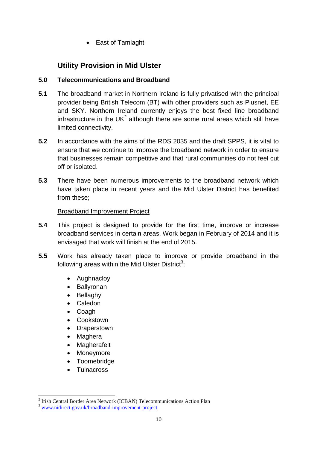• East of Tamlaght

# **Utility Provision in Mid Ulster**

# **5.0 Telecommunications and Broadband**

- **5.1** The broadband market in Northern Ireland is fully privatised with the principal provider being British Telecom (BT) with other providers such as Plusnet, EE and SKY. Northern Ireland currently enjoys the best fixed line broadband infrastructure in the UK<sup>2</sup> although there are some rural areas which still have limited connectivity.
- **5.2** In accordance with the aims of the RDS 2035 and the draft SPPS, it is vital to ensure that we continue to improve the broadband network in order to ensure that businesses remain competitive and that rural communities do not feel cut off or isolated.
- **5.3** There have been numerous improvements to the broadband network which have taken place in recent years and the Mid Ulster District has benefited from these;

# Broadband Improvement Project

- **5.4** This project is designed to provide for the first time, improve or increase broadband services in certain areas. Work began in February of 2014 and it is envisaged that work will finish at the end of 2015.
- **5.5** Work has already taken place to improve or provide broadband in the following areas within the Mid Ulster District<sup>3</sup>;
	- Aughnaclov
	- Ballyronan
	- Bellaghy
	- Caledon
	- Coagh
	- Cookstown
	- Draperstown
	- Maghera
	- Magherafelt
	- Moneymore
	- Toomebridge
	- Tulnacross

<sup>&</sup>lt;sup>2</sup> Irish Central Border Area Network (ICBAN) Telecommunications Action Plan

<sup>3</sup> www.nidirect.gov.uk/broadband-improvement-project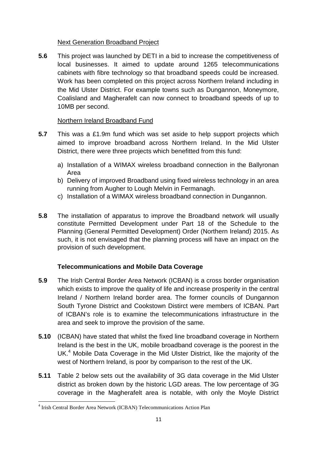# Next Generation Broadband Project

**5.6** This project was launched by DETI in a bid to increase the competitiveness of local businesses. It aimed to update around 1265 telecommunications cabinets with fibre technology so that broadband speeds could be increased. Work has been completed on this project across Northern Ireland including in the Mid Ulster District. For example towns such as Dungannon, Moneymore, Coalisland and Magherafelt can now connect to broadband speeds of up to 10MB per second.

# Northern Ireland Broadband Fund

- **5.7** This was a £1.9m fund which was set aside to help support projects which aimed to improve broadband across Northern Ireland. In the Mid Ulster District, there were three projects which benefitted from this fund:
	- a) Installation of a WIMAX wireless broadband connection in the Ballyronan Area
	- b) Delivery of improved Broadband using fixed wireless technology in an area running from Augher to Lough Melvin in Fermanagh.
	- c) Installation of a WIMAX wireless broadband connection in Dungannon.
- **5.8** The installation of apparatus to improve the Broadband network will usually constitute Permitted Development under Part 18 of the Schedule to the Planning (General Permitted Development) Order (Northern Ireland) 2015. As such, it is not envisaged that the planning process will have an impact on the provision of such development.

# **Telecommunications and Mobile Data Coverage**

- **5.9** The Irish Central Border Area Network (ICBAN) is a cross border organisation which exists to improve the quality of life and increase prosperity in the central Ireland / Northern Ireland border area. The former councils of Dungannon South Tyrone District and Cookstown Distirct were members of ICBAN. Part of ICBAN's role is to examine the telecommunications infrastructure in the area and seek to improve the provision of the same.
- **5.10** (ICBAN) have stated that whilst the fixed line broadband coverage in Northern Ireland is the best in the UK, mobile broadband coverage is the poorest in the UK.<sup>4</sup> Mobile Data Coverage in the Mid Ulster District, like the majority of the west of Northern Ireland, is poor by comparison to the rest of the UK.
- **5.11** Table 2 below sets out the availability of 3G data coverage in the Mid Ulster district as broken down by the historic LGD areas. The low percentage of 3G coverage in the Magherafelt area is notable, with only the Moyle District

<sup>4</sup> Irish Central Border Area Network (ICBAN) Telecommunications Action Plan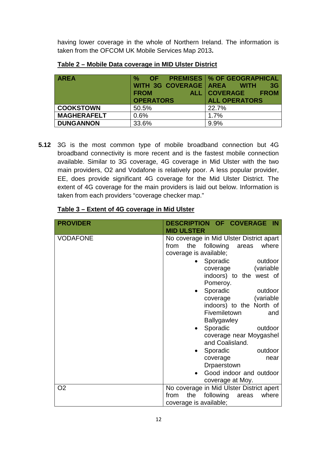having lower coverage in the whole of Northern Ireland. The information is taken from the OFCOM UK Mobile Services Map 2013**.**

| <b>AREA</b>        | $\frac{0}{0}$<br>OF   | <b>PREMISES   % OF GEOGRAPHICAL</b> |
|--------------------|-----------------------|-------------------------------------|
|                    | WITH 3G COVERAGE AREA | 3 <sub>G</sub><br><b>WITH</b>       |
|                    | <b>FROM</b>           | ALL COVERAGE<br><b>FROM</b>         |
|                    | <b>OPERATORS</b>      | <b>ALL OPERATORS</b>                |
| <b>COOKSTOWN</b>   | 50.5%                 | 22.7%                               |
| <b>MAGHERAFELT</b> | 0.6%                  | 1.7%                                |
| <b>DUNGANNON</b>   | 33.6%                 | 9.9%                                |

**5.12** 3G is the most common type of mobile broadband connection but 4G broadband connectivity is more recent and is the fastest mobile connection available. Similar to 3G coverage, 4G coverage in Mid Ulster with the two main providers, O2 and Vodafone is relatively poor. A less popular provider, EE, does provide significant 4G coverage for the Mid Ulster District. The extent of 4G coverage for the main providers is laid out below. Information is taken from each providers "coverage checker map."

| <b>PROVIDER</b> | DESCRIPTION OF COVERAGE IN<br><b>MID ULSTER</b>                                                                                                                                                                                                                                                                                                                                                                                                  |
|-----------------|--------------------------------------------------------------------------------------------------------------------------------------------------------------------------------------------------------------------------------------------------------------------------------------------------------------------------------------------------------------------------------------------------------------------------------------------------|
| <b>VODAFONE</b> | No coverage in Mid Ulster District apart<br>the following<br>from<br>where<br>areas<br>coverage is available;<br>• Sporadic<br>outdoor<br>(variable<br>coverage<br>indoors) to the west of<br>Pomeroy.<br>Sporadic<br>outdoor<br>(variable)<br>coverage<br>indoors) to the North of<br>Fivemiletown<br>and<br><b>Ballygawley</b><br>Sporadic<br>outdoor<br>coverage near Moygashel<br>and Coalisland.<br>Sporadic<br>outdoor<br>coverage<br>near |
|                 | Drpaerstown<br>Good indoor and outdoor<br>coverage at Moy.                                                                                                                                                                                                                                                                                                                                                                                       |
| O <sub>2</sub>  | No coverage in Mid Ulster District apert<br>the<br>following<br>from<br>where<br>areas<br>coverage is available;                                                                                                                                                                                                                                                                                                                                 |

# **Table 3 – Extent of 4G coverage in Mid Ulster**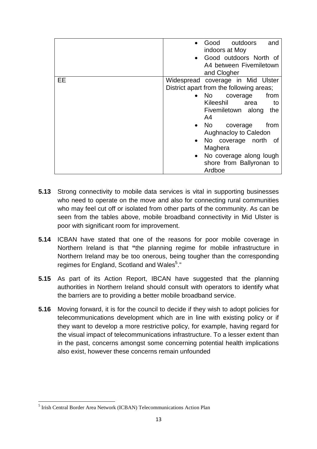|    | Good outdoors<br>and<br>indoors at Moy<br>• Good outdoors North of<br>A4 between Fivemiletown<br>and Clogher                                                                                                                                                                                                                                      |
|----|---------------------------------------------------------------------------------------------------------------------------------------------------------------------------------------------------------------------------------------------------------------------------------------------------------------------------------------------------|
| EE | Widespread coverage in Mid Ulster<br>District apart from the following areas;<br>from<br>$\bullet$ No $\bullet$<br>coverage<br>Kileeshil area<br>to<br>Fivemiletown along<br>the<br>A4<br>• No coverage<br>from<br>Aughnacloy to Caledon<br>• No coverage north<br>of<br>Maghera<br>No coverage along lough<br>shore from Ballyronan to<br>Ardboe |

- **5.13** Strong connectivity to mobile data services is vital in supporting businesses who need to operate on the move and also for connecting rural communities who may feel cut off or isolated from other parts of the community. As can be seen from the tables above, mobile broadband connectivity in Mid Ulster is poor with significant room for improvement.
- **5.14** ICBAN have stated that one of the reasons for poor mobile coverage in Northern Ireland is that **"**the planning regime for mobile infrastructure in Northern Ireland may be too onerous, being tougher than the corresponding regimes for England, Scotland and Wales<sup>5</sup>."
- **5.15** As part of its Action Report, IBCAN have suggested that the planning authorities in Northern Ireland should consult with operators to identify what the barriers are to providing a better mobile broadband service.
- **5.16** Moving forward, it is for the council to decide if they wish to adopt policies for telecommunications development which are in line with existing policy or if they want to develop a more restrictive policy, for example, having regard for the visual impact of telecommunications infrastructure. To a lesser extent than in the past, concerns amongst some concerning potential health implications also exist, however these concerns remain unfounded

<sup>&</sup>lt;sup>5</sup> Irish Central Border Area Network (ICBAN) Telecommunications Action Plan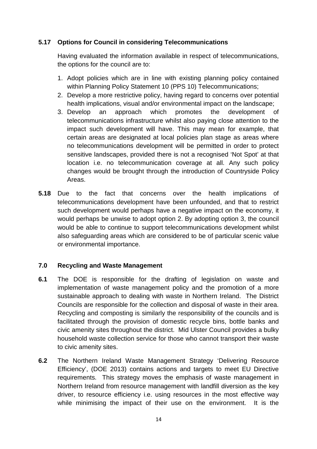# **5.17 Options for Council in considering Telecommunications**

Having evaluated the information available in respect of telecommunications, the options for the council are to:

- 1. Adopt policies which are in line with existing planning policy contained within Planning Policy Statement 10 (PPS 10) Telecommunications;
- 2. Develop a more restrictive policy, having regard to concerns over potential health implications, visual and/or environmental impact on the landscape;
- 3. Develop an approach which promotes the development of telecommunications infrastructure whilst also paying close attention to the impact such development will have. This may mean for example, that certain areas are designated at local policies plan stage as areas where no telecommunications development will be permitted in order to protect sensitive landscapes, provided there is not a recognised 'Not Spot' at that location i.e. no telecommunication coverage at all. Any such policy changes would be brought through the introduction of Countryside Policy Areas.
- **5.18** Due to the fact that concerns over the health implications of telecommunications development have been unfounded, and that to restrict such development would perhaps have a negative impact on the economy, it would perhaps be unwise to adopt option 2. By adopting option 3, the council would be able to continue to support telecommunications development whilst also safeguarding areas which are considered to be of particular scenic value or environmental importance.

# **7.0 Recycling and Waste Management**

- **6.1** The DOE is responsible for the drafting of legislation on waste and implementation of waste management policy and the promotion of a more sustainable approach to dealing with waste in Northern Ireland. The District Councils are responsible for the collection and disposal of waste in their area. Recycling and composting is similarly the responsibility of the councils and is facilitated through the provision of domestic recycle bins, bottle banks and civic amenity sites throughout the district. Mid Ulster Council provides a bulky household waste collection service for those who cannot transport their waste to civic amenity sites.
- **6.2** The Northern Ireland Waste Management Strategy 'Delivering Resource Efficiency', (DOE 2013) contains actions and targets to meet EU Directive requirements. This strategy moves the emphasis of waste management in Northern Ireland from resource management with landfill diversion as the key driver, to resource efficiency i.e. using resources in the most effective way while minimising the impact of their use on the environment. It is the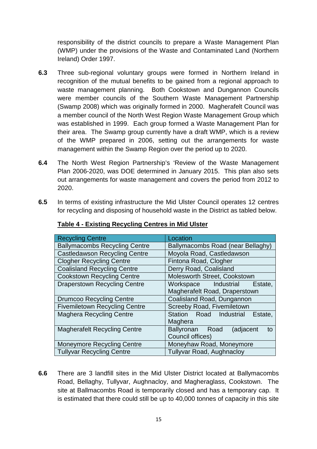responsibility of the district councils to prepare a Waste Management Plan (WMP) under the provisions of the Waste and Contaminated Land (Northern Ireland) Order 1997.

- **6.3** Three sub-regional voluntary groups were formed in Northern Ireland in recognition of the mutual benefits to be gained from a regional approach to waste management planning. Both Cookstown and Dungannon Councils were member councils of the Southern Waste Management Partnership (Swamp 2008) which was originally formed in 2000. Magherafelt Council was a member council of the North West Region Waste Management Group which was established in 1999. Each group formed a Waste Management Plan for their area. The Swamp group currently have a draft WMP, which is a review of the WMP prepared in 2006, setting out the arrangements for waste management within the Swamp Region over the period up to 2020.
- **6.4** The North West Region Partnership's 'Review of the Waste Management Plan 2006-2020, was DOE determined in January 2015. This plan also sets out arrangements for waste management and covers the period from 2012 to 2020.
- **6.5** In terms of existing infrastructure the Mid Ulster Council operates 12 centres for recycling and disposing of household waste in the District as tabled below.

| <b>Recycling Centre</b>              | Location                           |  |  |  |
|--------------------------------------|------------------------------------|--|--|--|
| <b>Ballymacombs Recycling Centre</b> | Ballymacombs Road (near Bellaghy)  |  |  |  |
| <b>Castledawson Recycling Centre</b> | Moyola Road, Castledawson          |  |  |  |
| <b>Clogher Recycling Centre</b>      | Fintona Road, Clogher              |  |  |  |
| <b>Coalisland Recycling Centre</b>   | Derry Road, Coalisland             |  |  |  |
| <b>Cookstown Recycling Centre</b>    | Molesworth Street, Cookstown       |  |  |  |
| <b>Draperstown Recycling Centre</b>  | Workspace Industrial<br>Estate,    |  |  |  |
|                                      | Magherafelt Road, Draperstown      |  |  |  |
| <b>Drumcoo Recycling Centre</b>      | Coalisland Road, Dungannon         |  |  |  |
| <b>Fivemiletown Recycling Centre</b> | Screeby Road, Fivemiletown         |  |  |  |
| <b>Maghera Recycling Centre</b>      | Station Road Industrial<br>Estate. |  |  |  |
|                                      | Maghera                            |  |  |  |
| <b>Magherafelt Recycling Centre</b>  | Ballyronan Road<br>(adjacent<br>to |  |  |  |
|                                      | Council offices)                   |  |  |  |
| <b>Moneymore Recycling Centre</b>    | Moneyhaw Road, Moneymore           |  |  |  |
| <b>Tullyvar Recycling Centre</b>     | <b>Tullyvar Road, Aughnacloy</b>   |  |  |  |

# **Table 4 - Existing Recycling Centres in Mid Ulster**

**6.6** There are 3 landfill sites in the Mid Ulster District located at Ballymacombs Road, Bellaghy, Tullyvar, Aughnacloy, and Magheraglass, Cookstown. The site at Ballmacombs Road is temporarily closed and has a temporary cap. It is estimated that there could still be up to 40,000 tonnes of capacity in this site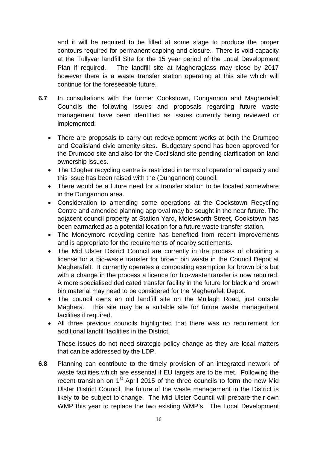and it will be required to be filled at some stage to produce the proper contours required for permanent capping and closure. There is void capacity at the Tullyvar landfill Site for the 15 year period of the Local Development Plan if required. The landfill site at Magheraglass may close by 2017 however there is a waste transfer station operating at this site which will continue for the foreseeable future.

- **6.7** In consultations with the former Cookstown, Dungannon and Magherafelt Councils the following issues and proposals regarding future waste management have been identified as issues currently being reviewed or implemented:
	- There are proposals to carry out redevelopment works at both the Drumcoo and Coalisland civic amenity sites. Budgetary spend has been approved for the Drumcoo site and also for the Coalisland site pending clarification on land ownership issues.
	- The Clogher recycling centre is restricted in terms of operational capacity and this issue has been raised with the (Dungannon) council.
	- There would be a future need for a transfer station to be located somewhere in the Dungannon area.
	- Consideration to amending some operations at the Cookstown Recycling Centre and amended planning approval may be sought in the near future. The adjacent council property at Station Yard, Molesworth Street, Cookstown has been earmarked as a potential location for a future waste transfer station.
	- The Moneymore recycling centre has benefited from recent improvements and is appropriate for the requirements of nearby settlements.
	- The Mid Ulster District Council are currently in the process of obtaining a license for a bio-waste transfer for brown bin waste in the Council Depot at Magherafelt. It currently operates a composting exemption for brown bins but with a change in the process a licence for bio-waste transfer is now required. A more specialised dedicated transfer facility in the future for black and brown bin material may need to be considered for the Magherafelt Depot.
	- The council owns an old landfill site on the Mullagh Road, just outside Maghera. This site may be a suitable site for future waste management facilities if required.
	- All three previous councils highlighted that there was no requirement for additional landfill facilities in the District.

These issues do not need strategic policy change as they are local matters that can be addressed by the LDP.

**6.8** Planning can contribute to the timely provision of an integrated network of waste facilities which are essential if EU targets are to be met. Following the recent transition on 1<sup>st</sup> April 2015 of the three councils to form the new Mid Ulster District Council, the future of the waste management in the District is likely to be subject to change. The Mid Ulster Council will prepare their own WMP this year to replace the two existing WMP's. The Local Development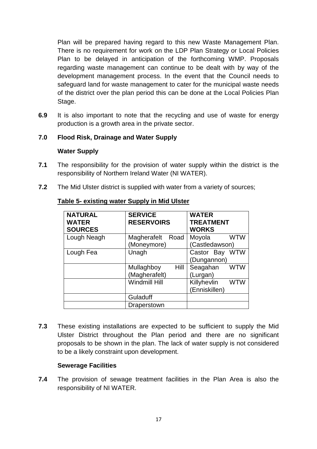Plan will be prepared having regard to this new Waste Management Plan. There is no requirement for work on the LDP Plan Strategy or Local Policies Plan to be delayed in anticipation of the forthcoming WMP. Proposals regarding waste management can continue to be dealt with by way of the development management process. In the event that the Council needs to safeguard land for waste management to cater for the municipal waste needs of the district over the plan period this can be done at the Local Policies Plan Stage.

**6.9** It is also important to note that the recycling and use of waste for energy production is a growth area in the private sector.

# **7.0 Flood Risk, Drainage and Water Supply**

#### **Water Supply**

- **7.1** The responsibility for the provision of water supply within the district is the responsibility of Northern Ireland Water (NI WATER).
- **7.2** The Mid Ulster district is supplied with water from a variety of sources;

| <b>NATURAL</b><br><b>WATER</b><br><b>SOURCES</b> | <b>SERVICE</b><br><b>RESERVOIRS</b> | <b>WATER</b><br><b>TREATMENT</b><br><b>WORKS</b> |
|--------------------------------------------------|-------------------------------------|--------------------------------------------------|
| Lough Neagh                                      | Magherafelt<br>Road<br>(Moneymore)  | <b>WTW</b><br>Moyola<br>(Castledawson)           |
| Lough Fea                                        | Unagh                               | <b>WTW</b><br>Castor Bay<br>(Dungannon)          |
|                                                  | Mullaghboy<br>Hill<br>(Magherafelt) | Seagahan<br><b>WTW</b><br>(Lurgan)               |
|                                                  | <b>Windmill Hill</b>                | Killyhevlin<br><b>WTW</b><br>(Enniskillen)       |
|                                                  | Guladuff                            |                                                  |
|                                                  | Draperstown                         |                                                  |

## **Table 5- existing water Supply in Mid Ulster**

**7.3** These existing installations are expected to be sufficient to supply the Mid Ulster District throughout the Plan period and there are no significant proposals to be shown in the plan. The lack of water supply is not considered to be a likely constraint upon development.

#### **Sewerage Facilities**

**7.4** The provision of sewage treatment facilities in the Plan Area is also the responsibility of NI WATER.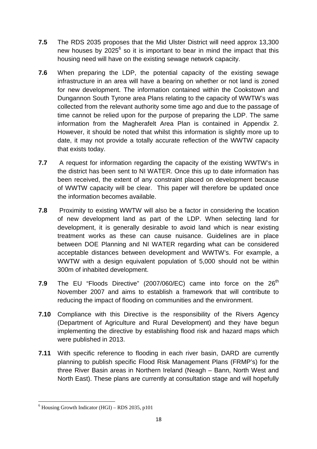- **7.5** The RDS 2035 proposes that the Mid Ulster District will need approx 13,300 new houses by 2025<sup>6</sup> so it is important to bear in mind the impact that this housing need will have on the existing sewage network capacity.
- **7.6** When preparing the LDP, the potential capacity of the existing sewage infrastructure in an area will have a bearing on whether or not land is zoned for new development. The information contained within the Cookstown and Dungannon South Tyrone area Plans relating to the capacity of WWTW's was collected from the relevant authority some time ago and due to the passage of time cannot be relied upon for the purpose of preparing the LDP. The same information from the Magherafelt Area Plan is contained in Appendix 2. However, it should be noted that whilst this information is slightly more up to date, it may not provide a totally accurate reflection of the WWTW capacity that exists today.
- **7.7** A request for information regarding the capacity of the existing WWTW's in the district has been sent to NI WATER. Once this up to date information has been received, the extent of any constraint placed on development because of WWTW capacity will be clear. This paper will therefore be updated once the information becomes available.
- **7.8** Proximity to existing WWTW will also be a factor in considering the location of new development land as part of the LDP. When selecting land for development, it is generally desirable to avoid land which is near existing treatment works as these can cause nuisance. Guidelines are in place between DOE Planning and NI WATER regarding what can be considered acceptable distances between development and WWTW's. For example, a WWTW with a design equivalent population of 5,000 should not be within 300m of inhabited development.
- **7.9** The EU "Floods Directive" (2007/060/EC) came into force on the 26<sup>th</sup> November 2007 and aims to establish a framework that will contribute to reducing the impact of flooding on communities and the environment.
- **7.10** Compliance with this Directive is the responsibility of the Rivers Agency (Department of Agriculture and Rural Development) and they have begun implementing the directive by establishing flood risk and hazard maps which were published in 2013.
- **7.11** With specific reference to flooding in each river basin, DARD are currently planning to publish specific Flood Risk Management Plans (FRMP's) for the three River Basin areas in Northern Ireland (Neagh – Bann, North West and North East). These plans are currently at consultation stage and will hopefully

 $6$  Housing Growth Indicator (HGI) – RDS 2035, p101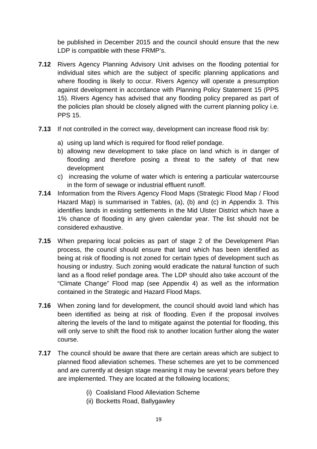be published in December 2015 and the council should ensure that the new LDP is compatible with these FRMP's.

- **7.12** Rivers Agency Planning Advisory Unit advises on the flooding potential for individual sites which are the subject of specific planning applications and where flooding is likely to occur. Rivers Agency will operate a presumption against development in accordance with Planning Policy Statement 15 (PPS 15). Rivers Agency has advised that any flooding policy prepared as part of the policies plan should be closely aligned with the current planning policy i.e. PPS 15.
- **7.13** If not controlled in the correct way, development can increase flood risk by:
	- a) using up land which is required for flood relief pondage.
	- b) allowing new development to take place on land which is in danger of flooding and therefore posing a threat to the safety of that new development
	- c) increasing the volume of water which is entering a particular watercourse in the form of sewage or industrial effluent runoff.
- **7.14** Information from the Rivers Agency Flood Maps (Strategic Flood Map / Flood Hazard Map) is summarised in Tables, (a), (b) and (c) in Appendix 3. This identifies lands in existing settlements in the Mid Ulster District which have a 1% chance of flooding in any given calendar year. The list should not be considered exhaustive.
- **7.15** When preparing local policies as part of stage 2 of the Development Plan process, the council should ensure that land which has been identified as being at risk of flooding is not zoned for certain types of development such as housing or industry. Such zoning would eradicate the natural function of such land as a flood relief pondage area. The LDP should also take account of the "Climate Change" Flood map (see Appendix 4) as well as the information contained in the Strategic and Hazard Flood Maps.
- **7.16** When zoning land for development, the council should avoid land which has been identified as being at risk of flooding. Even if the proposal involves altering the levels of the land to mitigate against the potential for flooding, this will only serve to shift the flood risk to another location further along the water course.
- **7.17** The council should be aware that there are certain areas which are subject to planned flood alleviation schemes. These schemes are yet to be commenced and are currently at design stage meaning it may be several years before they are implemented. They are located at the following locations;
	- (i) Coalisland Flood Alleviation Scheme
	- (ii) Bocketts Road, Ballygawley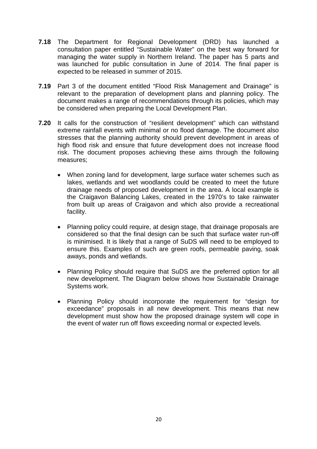- **7.18** The Department for Regional Development (DRD) has launched a consultation paper entitled "Sustainable Water" on the best way forward for managing the water supply in Northern Ireland. The paper has 5 parts and was launched for public consultation in June of 2014. The final paper is expected to be released in summer of 2015.
- **7.19** Part 3 of the document entitled "Flood Risk Management and Drainage" is relevant to the preparation of development plans and planning policy. The document makes a range of recommendations through its policies, which may be considered when preparing the Local Development Plan.
- **7.20** It calls for the construction of "resilient development" which can withstand extreme rainfall events with minimal or no flood damage. The document also stresses that the planning authority should prevent development in areas of high flood risk and ensure that future development does not increase flood risk. The document proposes achieving these aims through the following measures;
	- When zoning land for development, large surface water schemes such as lakes, wetlands and wet woodlands could be created to meet the future drainage needs of proposed development in the area. A local example is the Craigavon Balancing Lakes, created in the 1970's to take rainwater from built up areas of Craigavon and which also provide a recreational facility.
	- Planning policy could require, at design stage, that drainage proposals are considered so that the final design can be such that surface water run-off is minimised. It is likely that a range of SuDS will need to be employed to ensure this. Examples of such are green roofs, permeable paving, soak aways, ponds and wetlands.
	- Planning Policy should require that SuDS are the preferred option for all new development. The Diagram below shows how Sustainable Drainage Systems work.
	- Planning Policy should incorporate the requirement for "design for exceedance" proposals in all new development. This means that new development must show how the proposed drainage system will cope in the event of water run off flows exceeding normal or expected levels.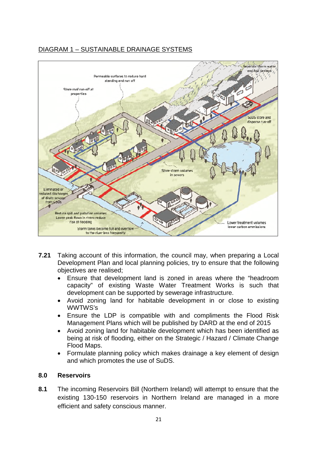# DIAGRAM 1 – SUSTAINABLE DRAINAGE SYSTEMS



- **7.21** Taking account of this information, the council may, when preparing a Local Development Plan and local planning policies, try to ensure that the following objectives are realised;
	- Ensure that development land is zoned in areas where the "headroom capacity" of existing Waste Water Treatment Works is such that development can be supported by sewerage infrastructure.
	- Avoid zoning land for habitable development in or close to existing WWTWS's
	- Ensure the LDP is compatible with and compliments the Flood Risk Management Plans which will be published by DARD at the end of 2015
	- Avoid zoning land for habitable development which has been identified as being at risk of flooding, either on the Strategic / Hazard / Climate Change Flood Maps.
	- Formulate planning policy which makes drainage a key element of design and which promotes the use of SuDS.

#### **8.0 Reservoirs**

**8.1** The incoming Reservoirs Bill (Northern Ireland) will attempt to ensure that the existing 130-150 reservoirs in Northern Ireland are managed in a more efficient and safety conscious manner.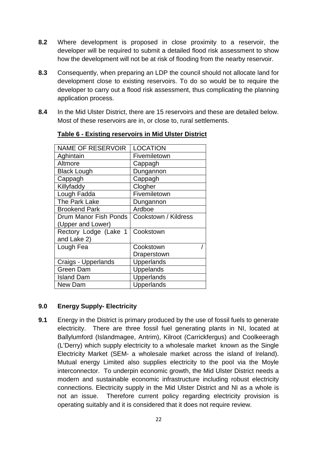- **8.2** Where development is proposed in close proximity to a reservoir, the developer will be required to submit a detailed flood risk assessment to show how the development will not be at risk of flooding from the nearby reservoir.
- **8.3** Consequently, when preparing an LDP the council should not allocate land for development close to existing reservoirs. To do so would be to require the developer to carry out a flood risk assessment, thus complicating the planning application process.
- **8.4** In the Mid Ulster District, there are 15 reservoirs and these are detailed below. Most of these reservoirs are in, or close to, rural settlements.

| <b>NAME OF RESERVOIR</b> | <b>LOCATION</b>      |
|--------------------------|----------------------|
| Aghintain                | Fivemiletown         |
| Altmore                  | Cappagh              |
| <b>Black Lough</b>       | Dungannon            |
| Cappagh                  | Cappagh              |
| Killyfaddy               | Clogher              |
| Lough Fadda              | Fivemiletown         |
| The Park Lake            | Dungannon            |
| <b>Brookend Park</b>     | Ardboe               |
| Drum Manor Fish Ponds    | Cookstown / Kildress |
| (Upper and Lower)        |                      |
| Rectory Lodge (Lake 1    | Cookstown            |
| and Lake 2)              |                      |
| Lough Fea                | Cookstown            |
|                          | Draperstown          |
| Craigs - Upperlands      | Upperlands           |
| Green Dam                | Uppelands            |
| <b>Island Dam</b>        | Upperlands           |
| New Dam                  | Upperlands           |

# **Table 6 - Existing reservoirs in Mid Ulster District**

# **9.0 Energy Supply- Electricity**

**9.1** Energy in the District is primary produced by the use of fossil fuels to generate electricity. There are three fossil fuel generating plants in NI, located at Ballylumford (Islandmagee, Antrim), Kilroot (Carrickfergus) and Coolkeeragh (L'Derry) which supply electricity to a wholesale market known as the Single Electricity Market (SEM- a wholesale market across the island of Ireland). Mutual energy Limited also supplies electricity to the pool via the Moyle interconnector. To underpin economic growth, the Mid Ulster District needs a modern and sustainable economic infrastructure including robust electricity connections. Electricity supply in the Mid Ulster District and NI as a whole is not an issue. Therefore current policy regarding electricity provision is operating suitably and it is considered that it does not require review.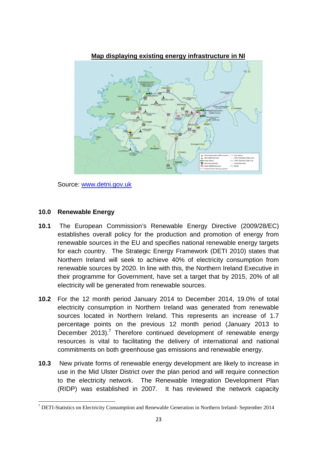

**Map displaying existing energy infrastructure in NI**

Source: www.detni.gov.uk

#### **10.0 Renewable Energy**

- **10.1** The European Commission's Renewable Energy Directive (2009/28/EC) establishes overall policy for the production and promotion of energy from renewable sources in the EU and specifies national renewable energy targets for each country. The Strategic Energy Framework (DETI 2010) states that Northern Ireland will seek to achieve 40% of electricity consumption from renewable sources by 2020. In line with this, the Northern Ireland Executive in their programme for Government, have set a target that by 2015, 20% of all electricity will be generated from renewable sources.
- **10.2** For the 12 month period January 2014 to December 2014, 19.0% of total electricity consumption in Northern Ireland was generated from renewable sources located in Northern Ireland. This represents an increase of 1.7 percentage points on the previous 12 month period (January 2013 to December 2013).<sup>7</sup> Therefore continued development of renewable energy resources is vital to facilitating the delivery of international and national commitments on both greenhouse gas emissions and renewable energy.
- **10.3** New private forms of renewable energy development are likely to increase in use in the Mid Ulster District over the plan period and will require connection to the electricity network. The Renewable Integration Development Plan (RIDP) was established in 2007. It has reviewed the network capacity

<sup>7</sup> DETI-Statistics on Electricity Consumption and Renewable Generation in Northern Ireland- September 2014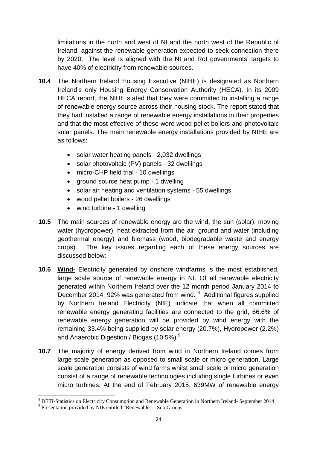limitations in the north and west of NI and the north west of the Republic of Ireland, against the renewable generation expected to seek connection there by 2020. The level is aligned with the NI and RoI governments' targets to have 40% of electricity from renewable sources.

- **10.4** The Northern Ireland Housing Executive (NIHE) is designated as Northern Ireland's only Housing Energy Conservation Authority (HECA). In its 2009 HECA report, the NIHE stated that they were committed to installing a range of renewable energy source across their housing stock. The report stated that they had installed a range of renewable energy installations in their properties and that the most effective of these were wood pellet boilers and photovoltaic solar panels. The main renewable energy installations provided by NIHE are as follows:
	- solar water heating panels 2,032 dwellings
	- solar photovoltaic (PV) panels 32 dwellings
	- micro-CHP field trial 10 dwellings
	- ground source heat pump 1 dwelling
	- solar air heating and ventilation systems 55 dwellings
	- wood pellet boilers 26 dwellings
	- wind turbine 1 dwelling
- **10.5** The main sources of renewable energy are the wind, the sun (solar), moving water (hydropower), heat extracted from the air, ground and water (including geothermal energy) and biomass (wood, biodegradable waste and energy crops). The key issues regarding each of these energy sources are discussed below:
- **10.6 Wind-** Electricity generated by onshore windfarms is the most established, large scale source of renewable energy in NI. Of all renewable electricity generated within Northern Ireland over the 12 month period January 2014 to December 2014, 92% was generated from wind. <sup>8</sup> Additional figures supplied by Northern Ireland Electricity (NIE) indicate that when all committed renewable energy generating facilities are connected to the grid, 66.6% of renewable energy generation will be provided by wind energy with the remaining 33.4% being supplied by solar energy (20.7%), Hydropower (2.2%) and Anaerobic Digestion / Biogas (10.5%).<sup>9</sup>
- **10.7** The majority of energy derived from wind in Northern Ireland comes from large scale generation as opposed to small scale or micro generation. Large scale generation consists of wind farms whilst small scale or micro generation consist of a range of renewable technologies including single turbines or even micro turbines. At the end of February 2015, 639MW of renewable energy

<sup>8</sup> DETI-Statistics on Electricity Consumption and Renewable Generation in Northern Ireland- September 2014

<sup>&</sup>lt;sup>9</sup> Presentation provided by NIE entitled "Renewables - Sub Groups"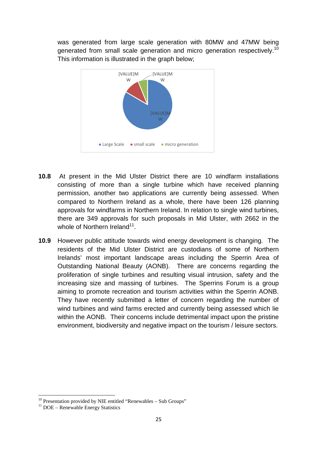was generated from large scale generation with 80MW and 47MW being generated from small scale generation and micro generation respectively.<sup>10</sup> This information is illustrated in the graph below;



- **10.8** At present in the Mid Ulster District there are 10 windfarm installations consisting of more than a single turbine which have received planning permission, another two applications are currently being assessed. When compared to Northern Ireland as a whole, there have been 126 planning approvals for windfarms in Northern Ireland. In relation to single wind turbines, there are 349 approvals for such proposals in Mid Ulster, with 2662 in the whole of Northern Ireland $^{11}$ .
- **10.9** However public attitude towards wind energy development is changing. The residents of the Mid Ulster District are custodians of some of Northern Irelands' most important landscape areas including the Sperrin Area of Outstanding National Beauty (AONB). There are concerns regarding the proliferation of single turbines and resulting visual intrusion, safety and the increasing size and massing of turbines. The Sperrins Forum is a group aiming to promote recreation and tourism activities within the Sperrin AONB. They have recently submitted a letter of concern regarding the number of wind turbines and wind farms erected and currently being assessed which lie within the AONB. Their concerns include detrimental impact upon the pristine environment, biodiversity and negative impact on the tourism / leisure sectors.

 $10$  Presentation provided by NIE entitled "Renewables – Sub Groups"

 $11$  DOE – Renewable Energy Statistics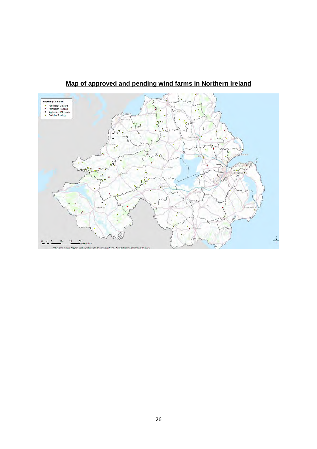

**Map of approved and pending wind farms in Northern Ireland**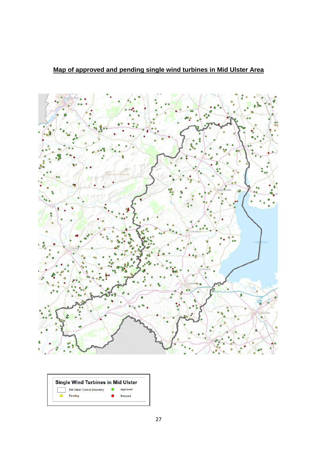



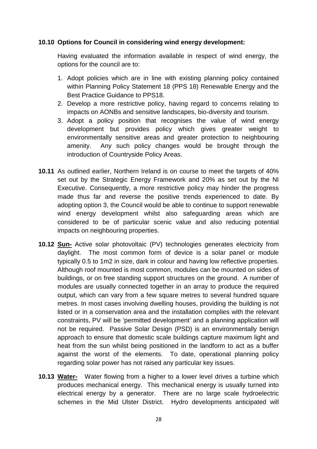#### **10.10 Options for Council in considering wind energy development:**

Having evaluated the information available in respect of wind energy, the options for the council are to:

- 1. Adopt policies which are in line with existing planning policy contained within Planning Policy Statement 18 (PPS 18) Renewable Energy and the Best Practice Guidance to PPS18.
- 2. Develop a more restrictive policy, having regard to concerns relating to impacts on AONBs and sensitive landscapes, bio-diversity and tourism.
- 3. Adopt a policy position that recognises the value of wind energy development but provides policy which gives greater weight to environmentally sensitive areas and greater protection to neighbouring amenity. Any such policy changes would be brought through the introduction of Countryside Policy Areas.
- **10.11** As outlined earlier, Northern Ireland is on course to meet the targets of 40% set out by the Strategic Energy Framework and 20% as set out by the NI Executive. Consequently, a more restrictive policy may hinder the progress made thus far and reverse the positive trends experienced to date. By adopting option 3, the Council would be able to continue to support renewable wind energy development whilst also safeguarding areas which are considered to be of particular scenic value and also reducing potential impacts on neighbouring properties.
- **10.12 Sun-** Active solar photovoltaic (PV) technologies generates electricity from daylight. The most common form of device is a solar panel or module typically 0.5 to 1m2 in size, dark in colour and having low reflective properties. Although roof mounted is most common, modules can be mounted on sides of buildings, or on free standing support structures on the ground. A number of modules are usually connected together in an array to produce the required output, which can vary from a few square metres to several hundred square metres. In most cases involving dwelling houses, providing the building is not listed or in a conservation area and the installation complies with the relevant constraints, PV will be 'permitted development' and a planning application will not be required. Passive Solar Design (PSD) is an environmentally benign approach to ensure that domestic scale buildings capture maximum light and heat from the sun whilst being positioned in the landform to act as a buffer against the worst of the elements. To date, operational planning policy regarding solar power has not raised any particular key issues.
- **10.13 Water-** Water flowing from a higher to a lower level drives a turbine which produces mechanical energy. This mechanical energy is usually turned into electrical energy by a generator. There are no large scale hydroelectric schemes in the Mid Ulster District. Hydro developments anticipated will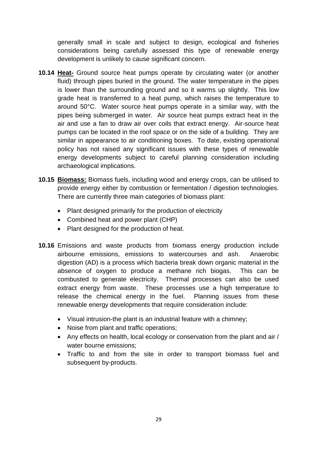generally small in scale and subject to design, ecological and fisheries considerations being carefully assessed this type of renewable energy development is unlikely to cause significant concern.

- **10.14 Heat-** Ground source heat pumps operate by circulating water (or another fluid) through pipes buried in the ground. The water temperature in the pipes is lower than the surrounding ground and so it warms up slightly. This low grade heat is transferred to a heat pump, which raises the temperature to around 50°C. Water source heat pumps operate in a similar way, with the pipes being submerged in water. Air source heat pumps extract heat in the air and use a fan to draw air over coils that extract energy. Air-source heat pumps can be located in the roof space or on the side of a building. They are similar in appearance to air conditioning boxes. To date, existing operational policy has not raised any significant issues with these types of renewable energy developments subject to careful planning consideration including archaeological implications.
- **10.15 Biomass:** Biomass fuels, including wood and energy crops, can be utilised to provide energy either by combustion or fermentation / digestion technologies. There are currently three main categories of biomass plant:
	- Plant designed primarily for the production of electricity
	- Combined heat and power plant (CHP)
	- Plant designed for the production of heat.
- **10.16** Emissions and waste products from biomass energy production include airbourne emissions, emissions to watercourses and ash. Anaerobic digestion (AD) is a process which bacteria break down organic material in the absence of oxygen to produce a methane rich biogas. This can be combusted to generate electricity. Thermal processes can also be used extract energy from waste. These processes use a high temperature to release the chemical energy in the fuel. Planning issues from these renewable energy developments that require consideration include:
	- Visual intrusion-the plant is an industrial feature with a chimney;
	- Noise from plant and traffic operations;
	- Any effects on health, local ecology or conservation from the plant and air / water bourne emissions;
	- Traffic to and from the site in order to transport biomass fuel and subsequent by-products.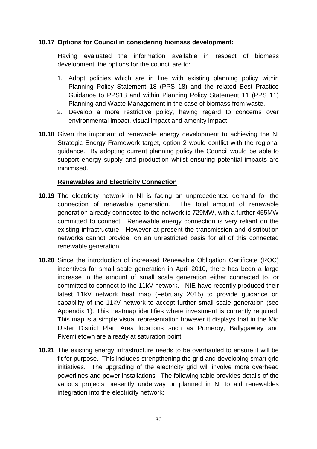## **10.17 Options for Council in considering biomass development:**

Having evaluated the information available in respect of biomass development, the options for the council are to:

- 1. Adopt policies which are in line with existing planning policy within Planning Policy Statement 18 (PPS 18) and the related Best Practice Guidance to PPS18 and within Planning Policy Statement 11 (PPS 11) Planning and Waste Management in the case of biomass from waste.
- 2. Develop a more restrictive policy, having regard to concerns over environmental impact, visual impact and amenity impact;
- **10.18** Given the important of renewable energy development to achieving the NI Strategic Energy Framework target, option 2 would conflict with the regional guidance. By adopting current planning policy the Council would be able to support energy supply and production whilst ensuring potential impacts are minimised.

#### **Renewables and Electricity Connection**

- **10.19** The electricity network in NI is facing an unprecedented demand for the connection of renewable generation. The total amount of renewable generation already connected to the network is 729MW, with a further 455MW committed to connect. Renewable energy connection is very reliant on the existing infrastructure. However at present the transmission and distribution networks cannot provide, on an unrestricted basis for all of this connected renewable generation.
- **10.20** Since the introduction of increased Renewable Obligation Certificate (ROC) incentives for small scale generation in April 2010, there has been a large increase in the amount of small scale generation either connected to, or committed to connect to the 11kV network. NIE have recently produced their latest 11kV network heat map (February 2015) to provide guidance on capability of the 11kV network to accept further small scale generation (see Appendix 1). This heatmap identifies where investment is currently required. This map is a simple visual representation however it displays that in the Mid Ulster District Plan Area locations such as Pomeroy, Ballygawley and Fivemiletown are already at saturation point.
- **10.21** The existing energy infrastructure needs to be overhauled to ensure it will be fit for purpose. This includes strengthening the grid and developing smart grid initiatives. The upgrading of the electricity grid will involve more overhead powerlines and power installations. The following table provides details of the various projects presently underway or planned in NI to aid renewables integration into the electricity network: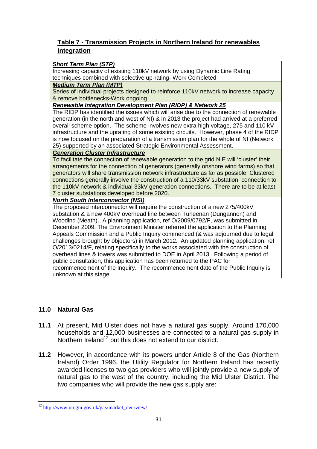# **Table 7 - Transmission Projects in Northern Ireland for renewables integration**

#### *Short Term Plan (STP)*

Increasing capacity of existing 110kV network by using Dynamic Line Rating techniques combined with selective up-rating- Work Completed

#### *Medium Term Plan (MTP)*

Series of individual projects designed to reinforce 110kV network to increase capacity & remove bottlenecks-Work ongoing

#### *Renewable Integration Development Plan (RIDP) & Network 25*

The RIDP has identified the issues which will arise due to the connection of renewable generation (in the north and west of NI) & in 2013 the project had arrived at a preferred overall scheme option. The scheme involves new extra high voltage, 275 and 110 kV infrastructure and the uprating of some existing circuits. However, phase 4 of the RIDP is now focused on the preparation of a transmission plan for the whole of NI (Network 25) supported by an associated Strategic Environmental Assessment.

#### *Generation Cluster Infrastructure*

To facilitate the connection of renewable generation to the grid NIE will 'cluster' their arrangements for the connection of generators (generally onshore wind farms) so that generators will share transmission network infrastructure as far as possible. Clustered connections generally involve the construction of a 110/33kV substation, connection to the 110kV network & individual 33kV generation connections. There are to be at least 7 cluster substations developed before 2020.

#### *North South Interconnector (NSI)*

The proposed interconnector will require the construction of a new 275/400kV substation & a new 400kV overhead line between Turleenan (Dungannon) and Woodlnd (Meath). A planning application, ref O/2009/0792/F, was submitted in December 2009. The Environment Minister referred the application to the Planning Appeals Commission and a Public Inquiry commenced (& was adjourned due to legal challenges brought by objectors) in March 2012. An updated planning application, ref O/2013/0214/F, relating specifically to the works associated with the construction of overhead lines & towers was submitted to DOE in April 2013. Following a period of public consultation, this application has been returned to the PAC for recommencement of the Inquiry. The recommencement date of the Public Inquiry is unknown at this stage.

# **11.0 Natural Gas**

- **11.1** At present, Mid Ulster does not have a natural gas supply. Around 170,000 households and 12,000 businesses are connected to a natural gas supply in Northern Ireland<sup>12</sup> but this does not extend to our district.
- **11.2** However, in accordance with its powers under Article 8 of the Gas (Northern Ireland) Order 1996, the Utility Regulator for Northern Ireland has recently awarded licenses to two gas providers who will jointly provide a new supply of natural gas to the west of the country, including the Mid Ulster District. The two companies who will provide the new gas supply are:

<sup>&</sup>lt;sup>12</sup> http://www.uregni.gov.uk/gas/market\_overview/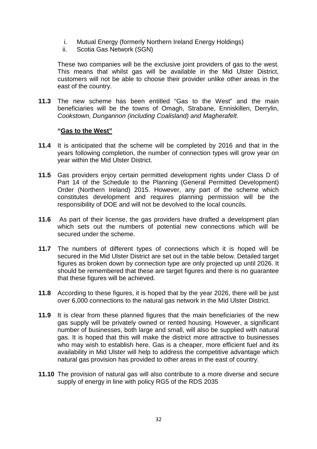- i. Mutual Energy (formerly Northern Ireland Energy Holdings)
- ii. Scotia Gas Network (SGN)

These two companies will be the exclusive joint providers of gas to the west. This means that whilst gas will be available in the Mid Ulster District, customers will not be able to choose their provider unlike other areas in the east of the country.

**11.3** The new scheme has been entitled "Gas to the West" and the main beneficiaries will be the towns of Omagh, Strabane, Enniskillen, Derrylin, *Cookstown, Dungannon (including Coalisland) and Magherafelt*.

#### **"Gas to the West"**

- **11.4** It is anticipated that the scheme will be completed by 2016 and that in the years following completion, the number of connection types will grow year on year within the Mid Ulster District.
- **11.5** Gas providers enjoy certain permitted development rights under Class D of Part 14 of the Schedule to the Planning (General Permitted Development) Order (Northern Ireland) 2015. However, any part of the scheme which constitutes development and requires planning permission will be the responsibility of DOE and will not be devolved to the local councils.
- **11.6** As part of their license, the gas providers have drafted a development plan which sets out the numbers of potential new connections which will be secured under the scheme.
- **11.7** The numbers of different types of connections which it is hoped will be secured in the Mid Ulster District are set out in the table below. Detailed target figures as broken down by connection type are only projected up until 2026. It should be remembered that these are target figures and there is no guarantee that these figures will be achieved.
- **11.8** According to these figures, it is hoped that by the year 2026, there will be just over 6,000 connections to the natural gas network in the Mid Ulster District.
- **11.9** It is clear from these planned figures that the main beneficiaries of the new gas supply will be privately owned or rented housing. However, a significant number of businesses, both large and small, will also be supplied with natural gas. It is hoped that this will make the district more attractive to businesses who may wish to establish here. Gas is a cheaper, more efficient fuel and its availability in Mid Ulster will help to address the competitive advantage which natural gas provision has provided to other areas in the east of country.
- **11.10** The provision of natural gas will also contribute to a more diverse and secure supply of energy in line with policy RG5 of the RDS 2035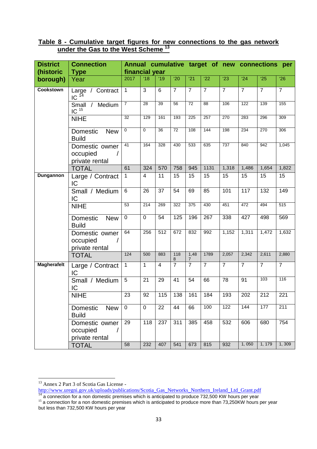| <b>District</b>    | <b>Connection</b>                            |                  |                 |                         |                 |                 | Annual cumulative target of new connections per |                |                |                |                |
|--------------------|----------------------------------------------|------------------|-----------------|-------------------------|-----------------|-----------------|-------------------------------------------------|----------------|----------------|----------------|----------------|
| (historic          | financial year<br><b>Type</b>                |                  |                 |                         |                 |                 |                                                 |                |                |                |                |
| borough)           | Year                                         | 2017             | 18              | '19                     | '20             | $\overline{21}$ | $^{\prime}22$                                   | $^{\prime}23$  | '24            | '25            | $^{\prime}26$  |
| <b>Cookstown</b>   | Large / Contract<br>$IC$ <sup>14</sup>       | $\overline{1}$   | $\overline{3}$  | 6                       | $\overline{7}$  | $\overline{7}$  | $\overline{7}$                                  | $\overline{7}$ | $\overline{7}$ | $\overline{7}$ | $\overline{7}$ |
|                    | Small /<br>Medium<br>$IC$ <sup>15</sup>      | $\overline{7}$   | $\overline{28}$ | 39                      | 56              | $\overline{72}$ | $\overline{88}$                                 | 106            | 122            | 139            | 155            |
|                    | <b>NIHE</b>                                  | 32               | 129             | 161                     | 193             | 225             | 257                                             | 270            | 283            | 296            | 309            |
|                    | Domestic<br><b>New</b><br><b>Build</b>       | $\mathbf 0$      | $\mathbf 0$     | $\overline{36}$         | $\overline{72}$ | 108             | 144                                             | 198            | 234            | 270            | 306            |
|                    | Domestic owner<br>occupied<br>private rental | 41               | 164             | 328                     | 430             | 533             | 635                                             | 737            | 840            | 942            | 1,045          |
|                    | <b>TOTAL</b>                                 | 61               | 324             | 570                     | 758             | 945             | 1131                                            | 1,318          | 1,486          | 1,654          | 1,822          |
| Dungannon          | Large / Contract<br>IC                       | $\mathbf{1}$     | 4               | 11                      | 15              | 15              | 15                                              | 15             | 15             | 15             | 15             |
|                    | Small / Medium<br>IC                         | 6                | 26              | 37                      | 54              | 69              | 85                                              | 101            | 117            | 132            | 149            |
|                    | <b>NIHE</b>                                  | 53               | 214             | 269                     | 322             | 375             | 430                                             | 451            | 472            | 494            | 515            |
|                    | Domestic<br><b>New</b><br><b>Build</b>       | $\mathbf 0$      | 0               | 54                      | 125             | 196             | 267                                             | 338            | 427            | 498            | 569            |
|                    | Domestic owner<br>occupied<br>private rental | 64               | 256             | $\overline{512}$        | 672             | 832             | 992                                             | 1,152          | 1,311          | 1,472          | 1,632          |
|                    | <b>TOTAL</b>                                 | $\overline{124}$ | 500             | 883                     | 118<br>8        | 1,48<br>7       | 1789                                            | 2,057          | 2,342          | 2,611          | 2,880          |
| <b>Magherafelt</b> | Large / Contract<br>IC                       | $\mathbf{1}$     | $\mathbf{1}$    | $\overline{\mathbf{4}}$ | $\overline{7}$  | $\overline{7}$  | $\overline{7}$                                  | $\overline{7}$ | $\overline{7}$ | $\overline{7}$ | $\overline{7}$ |
|                    | Small / Medium<br>IC                         | $\overline{5}$   | $\overline{21}$ | 29                      | 41              | 54              | 66                                              | 78             | 91             | 103            | 116            |
|                    | <b>NIHE</b>                                  | 23               | 92              | 115                     | 138             | 161             | 184                                             | 193            | 202            | 212            | 221            |
|                    | <b>New</b><br>Domestic<br><b>Build</b>       | $\mathbf 0$      | 0               | 22                      | 44              | 66              | 100                                             | 122            | 144            | 177            | 211            |
|                    | Domestic owner<br>occupied<br>private rental | 29               | 118             | 237                     | 311             | 385             | 458                                             | 532            | 606            | 680            | 754            |
|                    | <b>TOTAL</b>                                 | 58               | 232             | 407                     | 541             | 673             | 815                                             | 932            | 1,050          | 1, 179         | 1,309          |

#### **Table 8 - Cumulative target figures for new connections to the gas network under the Gas to the West Scheme <sup>13</sup>**

<sup>&</sup>lt;sup>13</sup> Annex 2 Part 3 of Scotia Gas License -

http://www.uregni.gov.uk/uploads/publications/Scotia\_Gas\_Networks\_Northern\_Ireland\_Ltd\_Grant.pdf

 $14$  a connection for a non domestic premises which is anticipated to produce 732,500 KW hours per year

<sup>&</sup>lt;sup>15</sup> a connection for a non domestic premises which is anticipated to produce more than 73,250KW hours per year but less than 732,500 KW hours per year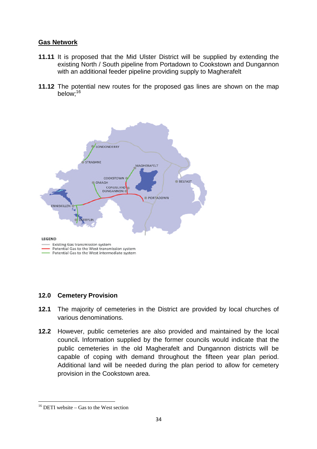# **Gas Network**

- **11.11** It is proposed that the Mid Ulster District will be supplied by extending the existing North / South pipeline from Portadown to Cookstown and Dungannon with an additional feeder pipeline providing supply to Magherafelt
- **11.12** The potential new routes for the proposed gas lines are shown on the map below;<sup>16</sup>



# **12.0 Cemetery Provision**

- **12.1** The majority of cemeteries in the District are provided by local churches of various denominations.
- **12.2** However, public cemeteries are also provided and maintained by the local council**.** Information supplied by the former councils would indicate that the public cemeteries in the old Magherafelt and Dungannon districts will be capable of coping with demand throughout the fifteen year plan period. Additional land will be needed during the plan period to allow for cemetery provision in the Cookstown area.

<sup>&</sup>lt;sup>16</sup> DETI website – Gas to the West section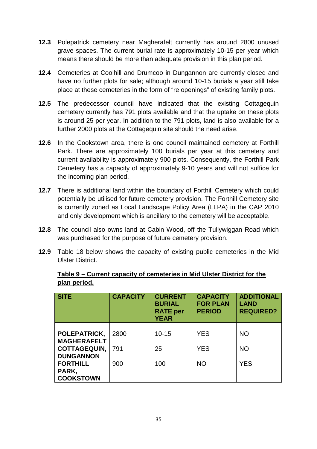- **12.3** Polepatrick cemetery near Magherafelt currently has around 2800 unused grave spaces. The current burial rate is approximately 10-15 per year which means there should be more than adequate provision in this plan period.
- **12.4** Cemeteries at Coolhill and Drumcoo in Dungannon are currently closed and have no further plots for sale; although around 10-15 burials a year still take place at these cemeteries in the form of "re openings" of existing family plots.
- **12.5** The predecessor council have indicated that the existing Cottagequin cemetery currently has 791 plots available and that the uptake on these plots is around 25 per year. In addition to the 791 plots, land is also available for a further 2000 plots at the Cottagequin site should the need arise.
- **12.6** In the Cookstown area, there is one council maintained cemetery at Forthill Park. There are approximately 100 burials per year at this cemetery and current availability is approximately 900 plots. Consequently, the Forthill Park Cemetery has a capacity of approximately 9-10 years and will not suffice for the incoming plan period.
- **12.7** There is additional land within the boundary of Forthill Cemetery which could potentially be utilised for future cemetery provision. The Forthill Cemetery site is currently zoned as Local Landscape Policy Area (LLPA) in the CAP 2010 and only development which is ancillary to the cemetery will be acceptable.
- **12.8** The council also owns land at Cabin Wood, off the Tullywiggan Road which was purchased for the purpose of future cemetery provision.
- **12.9** Table 18 below shows the capacity of existing public cemeteries in the Mid Ulster District.

## **Table 9 – Current capacity of cemeteries in Mid Ulster District for the plan period.**

| <b>SITE</b>         | <b>CAPACITY</b> | <b>CURRENT</b><br><b>BURIAL</b><br><b>RATE</b> per<br><b>YEAR</b> | <b>CAPACITY</b><br><b>FOR PLAN</b><br><b>PERIOD</b> | <b>ADDITIONAL</b><br><b>LAND</b><br><b>REQUIRED?</b> |  |
|---------------------|-----------------|-------------------------------------------------------------------|-----------------------------------------------------|------------------------------------------------------|--|
|                     |                 |                                                                   |                                                     |                                                      |  |
| POLEPATRICK,        | 2800            | $10 - 15$                                                         | <b>YES</b>                                          | <b>NO</b>                                            |  |
| <b>MAGHERAFELT</b>  |                 |                                                                   |                                                     |                                                      |  |
| <b>COTTAGEQUIN,</b> | 791             | 25                                                                | <b>YES</b>                                          | <b>NO</b>                                            |  |
| <b>DUNGANNON</b>    |                 |                                                                   |                                                     |                                                      |  |
| <b>FORTHILL</b>     | 900             | 100                                                               | <b>NO</b>                                           | <b>YES</b>                                           |  |
| PARK,               |                 |                                                                   |                                                     |                                                      |  |
| <b>COOKSTOWN</b>    |                 |                                                                   |                                                     |                                                      |  |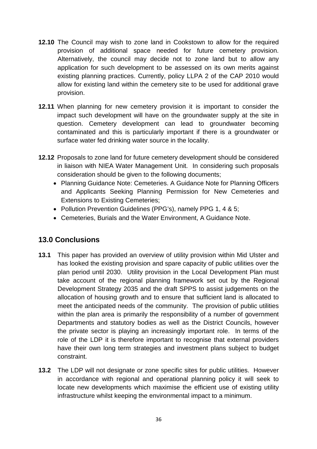- **12.10** The Council may wish to zone land in Cookstown to allow for the required provision of additional space needed for future cemetery provision. Alternatively, the council may decide not to zone land but to allow any application for such development to be assessed on its own merits against existing planning practices. Currently, policy LLPA 2 of the CAP 2010 would allow for existing land within the cemetery site to be used for additional grave provision.
- **12.11** When planning for new cemetery provision it is important to consider the impact such development will have on the groundwater supply at the site in question. Cemetery development can lead to groundwater becoming contaminated and this is particularly important if there is a groundwater or surface water fed drinking water source in the locality.
- **12.12** Proposals to zone land for future cemetery development should be considered in liaison with NIEA Water Management Unit. In considering such proposals consideration should be given to the following documents;
	- Planning Guidance Note: Cemeteries. A Guidance Note for Planning Officers and Applicants Seeking Planning Permission for New Cemeteries and Extensions to Existing Cemeteries;
	- Pollution Prevention Guidelines (PPG's), namely PPG 1, 4 & 5:
	- Cemeteries, Burials and the Water Environment, A Guidance Note.

# **13.0 Conclusions**

- **13.1** This paper has provided an overview of utility provision within Mid Ulster and has looked the existing provision and spare capacity of public utilities over the plan period until 2030. Utility provision in the Local Development Plan must take account of the regional planning framework set out by the Regional Development Strategy 2035 and the draft SPPS to assist judgements on the allocation of housing growth and to ensure that sufficient land is allocated to meet the anticipated needs of the community. The provision of public utilities within the plan area is primarily the responsibility of a number of government Departments and statutory bodies as well as the District Councils, however the private sector is playing an increasingly important role. In terms of the role of the LDP it is therefore important to recognise that external providers have their own long term strategies and investment plans subject to budget constraint.
- **13.2** The LDP will not designate or zone specific sites for public utilities. However in accordance with regional and operational planning policy it will seek to locate new developments which maximise the efficient use of existing utility infrastructure whilst keeping the environmental impact to a minimum.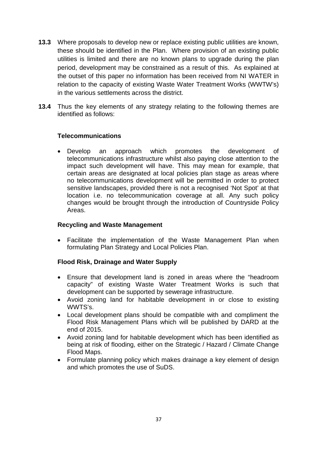- **13.3** Where proposals to develop new or replace existing public utilities are known, these should be identified in the Plan. Where provision of an existing public utilities is limited and there are no known plans to upgrade during the plan period, development may be constrained as a result of this. As explained at the outset of this paper no information has been received from NI WATER in relation to the capacity of existing Waste Water Treatment Works (WWTW's) in the various settlements across the district.
- **13.4** Thus the key elements of any strategy relating to the following themes are identified as follows:

## **Telecommunications**

 Develop an approach which promotes the development of telecommunications infrastructure whilst also paying close attention to the impact such development will have. This may mean for example, that certain areas are designated at local policies plan stage as areas where no telecommunications development will be permitted in order to protect sensitive landscapes, provided there is not a recognised 'Not Spot' at that location i.e. no telecommunication coverage at all. Any such policy changes would be brought through the introduction of Countryside Policy Areas.

#### **Recycling and Waste Management**

 Facilitate the implementation of the Waste Management Plan when formulating Plan Strategy and Local Policies Plan.

#### **Flood Risk, Drainage and Water Supply**

- Ensure that development land is zoned in areas where the "headroom capacity" of existing Waste Water Treatment Works is such that development can be supported by sewerage infrastructure.
- Avoid zoning land for habitable development in or close to existing WWTS's.
- Local development plans should be compatible with and compliment the Flood Risk Management Plans which will be published by DARD at the end of 2015.
- Avoid zoning land for habitable development which has been identified as being at risk of flooding, either on the Strategic / Hazard / Climate Change Flood Maps.
- Formulate planning policy which makes drainage a key element of design and which promotes the use of SuDS.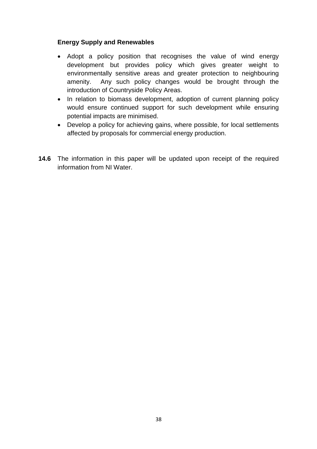## **Energy Supply and Renewables**

- Adopt a policy position that recognises the value of wind energy development but provides policy which gives greater weight to environmentally sensitive areas and greater protection to neighbouring amenity. Any such policy changes would be brought through the introduction of Countryside Policy Areas.
- In relation to biomass development, adoption of current planning policy would ensure continued support for such development while ensuring potential impacts are minimised.
- Develop a policy for achieving gains, where possible, for local settlements affected by proposals for commercial energy production.
- **14.6** The information in this paper will be updated upon receipt of the required information from NI Water.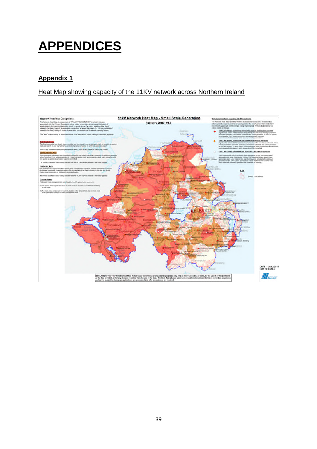# **APPENDICES**

# **Appendix 1**

# Heat Map showing capacity of the 11KV network across Northern Ireland

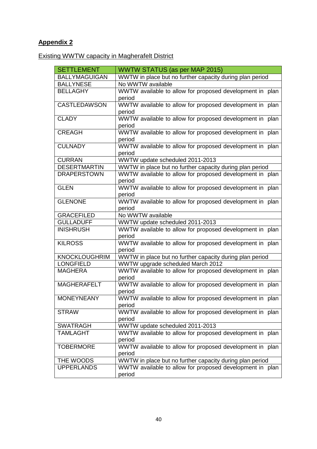# **Appendix 2**

Existing WWTW capacity in Magherafelt District

| <b>SETTLEMENT</b>    | WWTW STATUS (as per MAP 2015)                            |
|----------------------|----------------------------------------------------------|
| <b>BALLYMAGUIGAN</b> | WWTW in place but no further capacity during plan period |
| <b>BALLYNESE</b>     | No WWTW available                                        |
| <b>BELLAGHY</b>      | WWTW available to allow for proposed development in plan |
|                      | period                                                   |
| <b>CASTLEDAWSON</b>  | WWTW available to allow for proposed development in plan |
|                      | period                                                   |
| <b>CLADY</b>         | WWTW available to allow for proposed development in plan |
|                      | period                                                   |
| <b>CREAGH</b>        | WWTW available to allow for proposed development in plan |
|                      | period                                                   |
| <b>CULNADY</b>       | WWTW available to allow for proposed development in plan |
|                      | period                                                   |
| <b>CURRAN</b>        | WWTW update scheduled 2011-2013                          |
| <b>DESERTMARTIN</b>  | WWTW in place but no further capacity during plan period |
| <b>DRAPERSTOWN</b>   | WWTW available to allow for proposed development in plan |
|                      | period                                                   |
| <b>GLEN</b>          | WWTW available to allow for proposed development in plan |
|                      | period                                                   |
| <b>GLENONE</b>       | WWTW available to allow for proposed development in plan |
|                      | period                                                   |
| <b>GRACEFILED</b>    | No WWTW available                                        |
| <b>GULLADUFF</b>     | WWTW update scheduled 2011-2013                          |
| <b>INISHRUSH</b>     | WWTW available to allow for proposed development in plan |
|                      | period                                                   |
| <b>KILROSS</b>       | WWTW available to allow for proposed development in plan |
|                      | period                                                   |
| <b>KNOCKLOUGHRIM</b> | WWTW in place but no further capacity during plan period |
| <b>LONGFIELD</b>     | WWTW upgrade scheduled March 2012                        |
| <b>MAGHERA</b>       | WWTW available to allow for proposed development in plan |
|                      | period                                                   |
| <b>MAGHERAFELT</b>   | WWTW available to allow for proposed development in plan |
|                      | period                                                   |
| <b>MONEYNEANY</b>    | WWTW available to allow for proposed development in plan |
|                      | period                                                   |
| <b>STRAW</b>         | WWTW available to allow for proposed development in plan |
|                      | period                                                   |
| <b>SWATRAGH</b>      | WWTW update scheduled 2011-2013                          |
| <b>TAMLAGHT</b>      | WWTW available to allow for proposed development in plan |
|                      | period                                                   |
| <b>TOBERMORE</b>     | WWTW available to allow for proposed development in plan |
|                      | period                                                   |
| THE WOODS            | WWTW in place but no further capacity during plan period |
| <b>UPPERLANDS</b>    | WWTW available to allow for proposed development in plan |
|                      | period                                                   |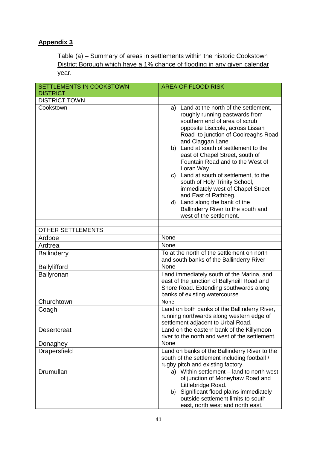# **Appendix 3**

Table (a) – Summary of areas in settlements within the historic Cookstown District Borough which have a 1% chance of flooding in any given calendar year.

| <b>SETTLEMENTS IN COOKSTOWN</b> | <b>AREA OF FLOOD RISK</b>                                                                                                                                                                                                                                                                                                                                                                                                                                                                                                                                                         |  |  |  |
|---------------------------------|-----------------------------------------------------------------------------------------------------------------------------------------------------------------------------------------------------------------------------------------------------------------------------------------------------------------------------------------------------------------------------------------------------------------------------------------------------------------------------------------------------------------------------------------------------------------------------------|--|--|--|
| <b>DISTRICT</b>                 |                                                                                                                                                                                                                                                                                                                                                                                                                                                                                                                                                                                   |  |  |  |
| <b>DISTRICT TOWN</b>            |                                                                                                                                                                                                                                                                                                                                                                                                                                                                                                                                                                                   |  |  |  |
| Cookstown                       | a) Land at the north of the settlement,<br>roughly running eastwards from<br>southern end of area of scrub<br>opposite Lisccole, across Lissan<br>Road to junction of Coolreaghs Road<br>and Claggan Lane<br>b) Land at south of settlement to the<br>east of Chapel Street, south of<br>Fountain Road and to the West of<br>Loran Way.<br>c) Land at south of settlement, to the<br>south of Holy Trinity School,<br>immediately west of Chapel Street<br>and East of Rathbeg.<br>d) Land along the bank of the<br>Ballinderry River to the south and<br>west of the settlement. |  |  |  |
| <b>OTHER SETTLEMENTS</b>        |                                                                                                                                                                                                                                                                                                                                                                                                                                                                                                                                                                                   |  |  |  |
| Ardboe                          | None                                                                                                                                                                                                                                                                                                                                                                                                                                                                                                                                                                              |  |  |  |
| Ardtrea                         | None                                                                                                                                                                                                                                                                                                                                                                                                                                                                                                                                                                              |  |  |  |
|                                 | To at the north of the settlement on north                                                                                                                                                                                                                                                                                                                                                                                                                                                                                                                                        |  |  |  |
| <b>Ballinderry</b>              | and south banks of the Ballinderry River                                                                                                                                                                                                                                                                                                                                                                                                                                                                                                                                          |  |  |  |
| <b>Ballylifford</b>             | None                                                                                                                                                                                                                                                                                                                                                                                                                                                                                                                                                                              |  |  |  |
| Ballyronan                      | Land immediately south of the Marina, and<br>east of the junction of Ballyneill Road and<br>Shore Road. Extending southwards along<br>banks of existing watercourse                                                                                                                                                                                                                                                                                                                                                                                                               |  |  |  |
| Churchtown                      | None                                                                                                                                                                                                                                                                                                                                                                                                                                                                                                                                                                              |  |  |  |
| Coagh                           | Land on both banks of the Ballinderry River,<br>running northwards along western edge of<br>settlement adjacent to Urbal Road.                                                                                                                                                                                                                                                                                                                                                                                                                                                    |  |  |  |
| <b>Desertcreat</b>              | Land on the eastern bank of the Killymoon<br>river to the north and west of the settlement.                                                                                                                                                                                                                                                                                                                                                                                                                                                                                       |  |  |  |
| Donaghey                        | None                                                                                                                                                                                                                                                                                                                                                                                                                                                                                                                                                                              |  |  |  |
| Drapersfield                    | Land on banks of the Ballinderry River to the<br>south of the settlement including football /<br>rugby pitch and existing factory.                                                                                                                                                                                                                                                                                                                                                                                                                                                |  |  |  |
| Drumullan                       | a) Within settlement – land to north west<br>of junction of Moneyhaw Road and<br>Littlebridge Road.<br>b) Significant flood plains immediately<br>outside settlement limits to south<br>east, north west and north east.                                                                                                                                                                                                                                                                                                                                                          |  |  |  |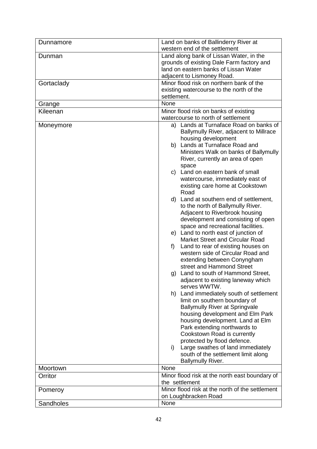| Dunnamore  | Land on banks of Ballinderry River at                                            |
|------------|----------------------------------------------------------------------------------|
|            | western end of the settlement                                                    |
| Dunman     | Land along bank of Lissan Water, in the                                          |
|            | grounds of existing Dale Farm factory and                                        |
|            | land on eastern banks of Lissan Water                                            |
|            | adjacent to Lismoney Road.                                                       |
| Gortaclady | Minor flood risk on northern bank of the                                         |
|            | existing watercourse to the north of the                                         |
|            | settlement.                                                                      |
| Grange     | None                                                                             |
| Kileenan   | Minor flood risk on banks of existing                                            |
|            | watercourse to north of settlement                                               |
| Moneymore  | a) Lands at Turnaface Road on banks of<br>Ballymully River, adjacent to Millrace |
|            | housing development                                                              |
|            | b) Lands at Turnaface Road and                                                   |
|            | Ministers Walk on banks of Ballymully                                            |
|            | River, currently an area of open                                                 |
|            | space                                                                            |
|            | c) Land on eastern bank of small                                                 |
|            | watercourse, immediately east of                                                 |
|            | existing care home at Cookstown                                                  |
|            | Road                                                                             |
|            | d) Land at southern end of settlement,                                           |
|            | to the north of Ballymully River.                                                |
|            | Adjacent to Riverbrook housing                                                   |
|            | development and consisting of open                                               |
|            | space and recreational facilities.                                               |
|            | e) Land to north east of junction of                                             |
|            | Market Street and Circular Road                                                  |
|            | Land to rear of existing houses on<br>f)                                         |
|            | western side of Circular Road and                                                |
|            | extending between Conyngham                                                      |
|            | street and Hammond Street                                                        |
|            | Land to south of Hammond Street,<br>g)                                           |
|            | adjacent to existing laneway which                                               |
|            | serves WWTW.<br>h) Land immediately south of settlement                          |
|            | limit on southern boundary of                                                    |
|            | <b>Ballymully River at Springvale</b>                                            |
|            | housing development and Elm Park                                                 |
|            | housing development. Land at Elm                                                 |
|            | Park extending northwards to                                                     |
|            | Cookstown Road is currently                                                      |
|            | protected by flood defence.                                                      |
|            | Large swathes of land immediately<br>i)                                          |
|            | south of the settlement limit along                                              |
|            | <b>Ballymully River.</b>                                                         |
| Moortown   | None                                                                             |
|            |                                                                                  |
| Orritor    | Minor flood risk at the north east boundary of                                   |
|            | the settlement                                                                   |
| Pomeroy    | Minor flood risk at the north of the settlement                                  |
|            | on Loughbracken Road<br>None                                                     |
| Sandholes  |                                                                                  |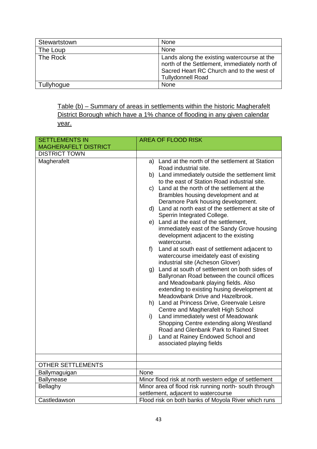| Stewartstown | None                                                                                                                                                                  |
|--------------|-----------------------------------------------------------------------------------------------------------------------------------------------------------------------|
| The Loup     | None                                                                                                                                                                  |
| The Rock     | Lands along the existing watercourse at the<br>north of the Settlement, immediately north of<br>Sacred Heart RC Church and to the west of<br><b>Tullydonnell Road</b> |
| Tullyhogue   | None                                                                                                                                                                  |

Table (b) – Summary of areas in settlements within the historic Magherafelt District Borough which have a 1% chance of flooding in any given calendar year.

| <b>SETTLEMENTS IN</b>       | <b>AREA OF FLOOD RISK</b>                                                                                                                                                                                                |
|-----------------------------|--------------------------------------------------------------------------------------------------------------------------------------------------------------------------------------------------------------------------|
| <b>MAGHERAFELT DISTRICT</b> |                                                                                                                                                                                                                          |
| <b>DISTRICT TOWN</b>        |                                                                                                                                                                                                                          |
| Magherafelt                 | a) Land at the north of the settlement at Station<br>Road industrial site.                                                                                                                                               |
|                             | b) Land immediately outside the settlement limit<br>to the east of Station Road industrial site.                                                                                                                         |
|                             | c) Land at the north of the settlement at the<br>Brambles housing development and at                                                                                                                                     |
|                             | Deramore Park housing development.                                                                                                                                                                                       |
|                             | d) Land at north east of the settlement at site of<br>Sperrin Integrated College.                                                                                                                                        |
|                             | e) Land at the east of the settlement,<br>immediately east of the Sandy Grove housing<br>development adjacent to the existing<br>watercourse.                                                                            |
|                             | Land at south east of settlement adjacent to<br>$f$ )<br>watercourse imeidately east of existing<br>industrial site (Acheson Glover)                                                                                     |
|                             | g) Land at south of settlement on both sides of<br>Ballyronan Road between the council offices<br>and Meadowbank playing fields. Also<br>extending to existing husing development at<br>Meadowbank Drive and Hazelbrook. |
|                             | h) Land at Princess Drive, Greenvale Leisre<br>Centre and Magherafelt High School                                                                                                                                        |
|                             | Land immediately west of Meadowank<br>i)<br>Shopping Centre extending along Westland<br>Road and Glenbank Park to Rained Street                                                                                          |
|                             | Land at Rainey Endowed School and<br>$j$ )<br>associated playing fields                                                                                                                                                  |
|                             |                                                                                                                                                                                                                          |
| <b>OTHER SETTLEMENTS</b>    |                                                                                                                                                                                                                          |
| Ballymaguigan               | None                                                                                                                                                                                                                     |
| Ballynease                  | Minor flood risk at north western edge of settlement                                                                                                                                                                     |
| Bellaghy                    | Minor area of flood risk running north- south through<br>settlement, adjacent to watercourse                                                                                                                             |
| Castledawson                | Flood risk on both banks of Moyola River which runs                                                                                                                                                                      |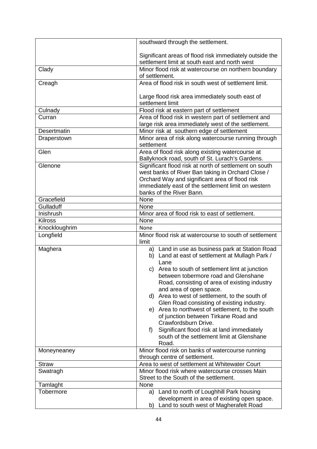|                        | southward through the settlement.                                                                        |
|------------------------|----------------------------------------------------------------------------------------------------------|
|                        |                                                                                                          |
|                        | Significant areas of flood risk immediately outside the<br>settlement limit at south east and north west |
| Clady                  | Minor flood risk at watercourse on northern boundary                                                     |
|                        | of settlement.                                                                                           |
| Creagh                 | Area of flood risk in south west of settlement limit.                                                    |
|                        |                                                                                                          |
|                        | Large flood risk area immediately south east of                                                          |
|                        | settlement limit                                                                                         |
| Culnady                | Flood risk at eastern part of settlement                                                                 |
| Curran                 | Area of flood risk in western part of settlement and                                                     |
|                        | large risk area immediately west of the settlement.                                                      |
| Desertmatin            | Minor risk at southern edge of settlement                                                                |
| Draperstown            | Minor area of risk along watercourse running through                                                     |
|                        | settlement                                                                                               |
| Glen                   | Area of flood risk along existing watercourse at<br>Ballyknock road, south of St. Lurach's Gardens.      |
| Glenone                | Significant flood risk at north of settlement on south                                                   |
|                        | west banks of River Ban taking in Orchard Close /                                                        |
|                        | Orchard Way and significant area of flood risk                                                           |
|                        | immediately east of the settlement limit on western                                                      |
|                        | banks of the River Bann.                                                                                 |
| Gracefield             | None                                                                                                     |
| Gulladuff<br>Inishrush | None<br>Minor area of flood risk to east of settlement.                                                  |
| <b>Kilross</b>         | None                                                                                                     |
| Knockloughrim          | None                                                                                                     |
| Longfield              | Minor flood risk at watercourse to south of settlement                                                   |
|                        | limit                                                                                                    |
| Maghera                | a) Land in use as business park at Station Road                                                          |
|                        | b) Land at east of settlement at Mullagh Park /                                                          |
|                        | Lane                                                                                                     |
|                        | Area to south of settlement limt at junction<br>C)<br>between tobermore road and Glenshane               |
|                        | Road, consisting of area of existing industry                                                            |
|                        | and area of open space.                                                                                  |
|                        | d) Area to west of settlement, to the south of                                                           |
|                        | Glen Road consisting of existing industry.                                                               |
|                        | e) Area to northwest of settlement, to the south                                                         |
|                        | of junction between Tirkane Road and                                                                     |
|                        | Crawfordsburn Drive.                                                                                     |
|                        | Significant flood risk at land immediately<br>f)                                                         |
|                        | south of the settlement limit at Glenshane                                                               |
|                        | Road.                                                                                                    |
| Moneyneaney            | Minor flood risk on banks of watercourse running<br>through centre of settlement.                        |
| <b>Straw</b>           | Area to west of settlement at Whitewater Court                                                           |
| Swatragh               | Minor flood risk where watercourse crosses Main                                                          |
|                        | Street to the South of the settlement.                                                                   |
| Tamlaght               | None                                                                                                     |
| Tobermore              | Land to north of Loughhill Park housing<br>a)                                                            |
|                        | development in area of existing open space.                                                              |
|                        | Land to south west of Magherafelt Road<br>b)                                                             |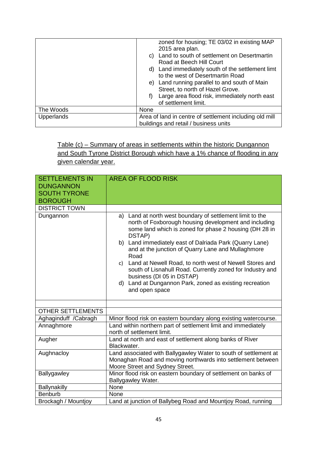|                   | zoned for housing; TE 03/02 in existing MAP<br>2015 area plan.<br>c) Land to south of settlement on Desertmartin<br>Road at Beech Hill Court<br>d) Land immediately south of the settlement limt<br>to the west of Desertmartin Road<br>e) Land running parallel to and south of Main<br>Street, to north of Hazel Grove.<br>Large area flood risk, immediately north east<br>f)<br>of settlement limit. |
|-------------------|----------------------------------------------------------------------------------------------------------------------------------------------------------------------------------------------------------------------------------------------------------------------------------------------------------------------------------------------------------------------------------------------------------|
| The Woods         | None                                                                                                                                                                                                                                                                                                                                                                                                     |
| <b>Upperlands</b> | Area of land in centre of settlement including old mill<br>buildings and retail / business units                                                                                                                                                                                                                                                                                                         |

Table (c) – Summary of areas in settlements within the historic Dungannon and South Tyrone District Borough which have a 1% chance of flooding in any given calendar year.

| <b>SETTLEMENTS IN</b><br><b>DUNGANNON</b> | <b>AREA OF FLOOD RISK</b>                                                                                                                                                                                                                                                                                                                                                                                                                                                                                                                            |
|-------------------------------------------|------------------------------------------------------------------------------------------------------------------------------------------------------------------------------------------------------------------------------------------------------------------------------------------------------------------------------------------------------------------------------------------------------------------------------------------------------------------------------------------------------------------------------------------------------|
| <b>SOUTH TYRONE</b>                       |                                                                                                                                                                                                                                                                                                                                                                                                                                                                                                                                                      |
| <b>BOROUGH</b>                            |                                                                                                                                                                                                                                                                                                                                                                                                                                                                                                                                                      |
| <b>DISTRICT TOWN</b>                      |                                                                                                                                                                                                                                                                                                                                                                                                                                                                                                                                                      |
| Dungannon                                 | a) Land at north west boundary of settlement limit to the<br>north of Foxborough housing development and including<br>some land which is zoned for phase 2 housing (DH 28 in<br>DSTAP)<br>b) Land immediately east of Dalriada Park (Quarry Lane)<br>and at the junction of Quarry Lane and Mullaghmore<br>Road<br>c) Land at Newell Road, to north west of Newell Stores and<br>south of Lisnahull Road. Currently zoned for Industry and<br>business (DI 05 in DSTAP)<br>d) Land at Dungannon Park, zoned as existing recreation<br>and open space |
| <b>OTHER SETTLEMENTS</b>                  |                                                                                                                                                                                                                                                                                                                                                                                                                                                                                                                                                      |
| Aghaginduff /Cabragh                      | Minor flood risk on eastern boundary along existing watercourse.                                                                                                                                                                                                                                                                                                                                                                                                                                                                                     |
| Annaghmore                                | Land within northern part of settlement limit and immediately<br>north of settlement limit.                                                                                                                                                                                                                                                                                                                                                                                                                                                          |
| Augher                                    | Land at north and east of settlement along banks of River<br>Blackwater.                                                                                                                                                                                                                                                                                                                                                                                                                                                                             |
| Aughnacloy                                | Land associated with Ballygawley Water to south of settlement at<br>Monaghan Road and moving northwards into settlement between<br>Moore Street and Sydney Street.                                                                                                                                                                                                                                                                                                                                                                                   |
| Ballygawley                               | Minor flood risk on eastern boundary of settlement on banks of<br>Ballygawley Water.                                                                                                                                                                                                                                                                                                                                                                                                                                                                 |
| Ballynakilly                              | None                                                                                                                                                                                                                                                                                                                                                                                                                                                                                                                                                 |
| <b>Benburb</b>                            | None                                                                                                                                                                                                                                                                                                                                                                                                                                                                                                                                                 |
| Brockagh / Mountjoy                       | Land at junction of Ballybeg Road and Mountjoy Road, running                                                                                                                                                                                                                                                                                                                                                                                                                                                                                         |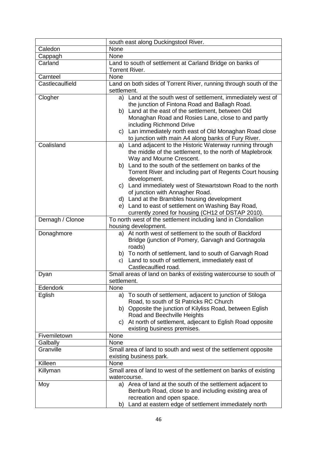|                  | south east along Duckingstool River.                                                                                                                                                                                                                                                                                                                                                                                                                                                                                                                |
|------------------|-----------------------------------------------------------------------------------------------------------------------------------------------------------------------------------------------------------------------------------------------------------------------------------------------------------------------------------------------------------------------------------------------------------------------------------------------------------------------------------------------------------------------------------------------------|
| Caledon          | None                                                                                                                                                                                                                                                                                                                                                                                                                                                                                                                                                |
| Cappagh          | None                                                                                                                                                                                                                                                                                                                                                                                                                                                                                                                                                |
| Carland          | Land to south of settlement at Carland Bridge on banks of<br>Torrent River.                                                                                                                                                                                                                                                                                                                                                                                                                                                                         |
| Carnteel         | None                                                                                                                                                                                                                                                                                                                                                                                                                                                                                                                                                |
| Castlecaulfield  | Land on both sides of Torrent River, running through south of the<br>settlement.                                                                                                                                                                                                                                                                                                                                                                                                                                                                    |
| Clogher          | a) Land at the south west of settlement, immediately west of<br>the junction of Fintona Road and Ballagh Road.<br>b) Land at the east of the settlement, between Old<br>Monaghan Road and Rosies Lane, close to and partly<br>including Richmond Drive<br>c) Lan immediately north east of Old Monaghan Road close<br>to junction with main A4 along banks of Fury River.                                                                                                                                                                           |
| Coalisland       | a) Land adjacent to the Historic Waterway running through<br>the middle of the settlement, to the north of Maplebrook<br>Way and Mourne Crescent.<br>b) Land to the south of the settlement on banks of the<br>Torrent River and including part of Regents Court housing<br>development.<br>c) Land immediately west of Stewartstown Road to the north<br>of junction with Annagher Road.<br>d) Land at the Brambles housing development<br>e) Land to east of settlement on Washing Bay Road,<br>currently zoned for housing (CH12 of DSTAP 2010). |
| Dernagh / Clonoe | To north west of the settlement including land in Clondallion<br>housing development.                                                                                                                                                                                                                                                                                                                                                                                                                                                               |
| Donaghmore       | a) At north west of settlement to the south of Backford<br>Bridge (junction of Pomery, Garvagh and Gortnagola<br>roads)<br>b) To north of settlement, land to south of Garvagh Road<br>Land to south of settlement, immediately east of<br>c)<br>Castlecaulfied road.                                                                                                                                                                                                                                                                               |
| Dyan             | Small areas of land on banks of existing watercourse to south of<br>settlement.                                                                                                                                                                                                                                                                                                                                                                                                                                                                     |
| Edendork         | None                                                                                                                                                                                                                                                                                                                                                                                                                                                                                                                                                |
| Eglish           | To south of settlement, adjacent to junction of Stiloga<br>a)<br>Road, to south of St Patricks RC Church<br>b) Opposite the junction of Kilyliss Road, between Eglish<br>Road and Beechville Heights<br>At north of settlement, adjecant to Eglish Road opposite<br>C)<br>existing business premises.                                                                                                                                                                                                                                               |
| Fivemiletown     | None                                                                                                                                                                                                                                                                                                                                                                                                                                                                                                                                                |
| Galbally         | None                                                                                                                                                                                                                                                                                                                                                                                                                                                                                                                                                |
| Granville        | Small area of land to south and west of the settlement opposite<br>existing business park.                                                                                                                                                                                                                                                                                                                                                                                                                                                          |
| Killeen          | None                                                                                                                                                                                                                                                                                                                                                                                                                                                                                                                                                |
| Killyman         | Small area of land to west of the settlement on banks of existing<br>watercourse.                                                                                                                                                                                                                                                                                                                                                                                                                                                                   |
| Moy              | a) Area of land at the south of the settlement adjacent to<br>Benburb Road, close to and including existing area of<br>recreation and open space.<br>b) Land at eastern edge of settlement immediately north                                                                                                                                                                                                                                                                                                                                        |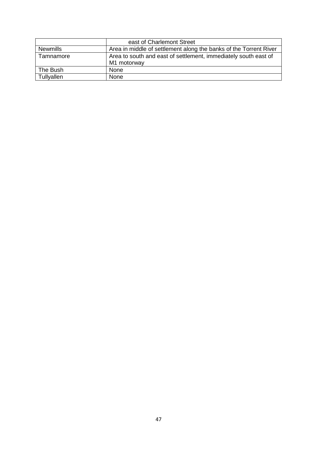|                 | east of Charlemont Street                                                      |
|-----------------|--------------------------------------------------------------------------------|
| <b>Newmills</b> | Area in middle of settlement along the banks of the Torrent River              |
| Tamnamore       | Area to south and east of settlement, immediately south east of<br>M1 motorway |
| The Bush        | None                                                                           |
| Tullyallen      | None                                                                           |